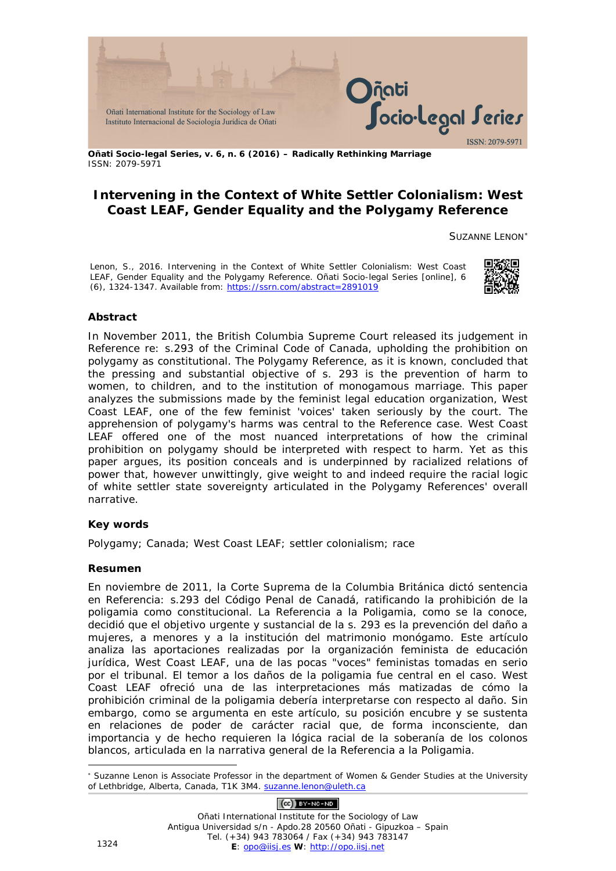

**Oñati Socio-legal Series, v. 6, n. 6 (2016) – Radically Rethinking Marriage** ISSN: 2079-5971

# **Intervening in the Context of White Settler Colonialism: West Coast LEAF, Gender Equality and the Polygamy Reference**

SUZANNE LENON[∗](#page-0-0)

Lenon, S., 2016. Intervening in the Context of White Settler Colonialism: West Coast LEAF, Gender Equality and the Polygamy Reference. *Oñati Socio-legal Series* [online], 6 (6), 1324-1347. Available from:<https://ssrn.com/abstract=2891019>



#### **Abstract**

In November 2011, the British Columbia Supreme Court released its judgement in *Reference re: s.293 of the Criminal Code of Canada*, upholding the prohibition on polygamy as constitutional. The Polygamy Reference, as it is known, concluded that the pressing and substantial objective of s. 293 is the prevention of harm to women, to children, and to the institution of monogamous marriage. This paper analyzes the submissions made by the feminist legal education organization, West Coast LEAF, one of the few feminist 'voices' taken seriously by the court. The apprehension of polygamy's harms was central to the Reference case. West Coast LEAF offered one of the most nuanced interpretations of how the criminal prohibition on polygamy should be interpreted with respect to harm. Yet as this paper argues, its position conceals and is underpinned by racialized relations of power that, however unwittingly, give weight to and indeed require the racial logic of white settler state sovereignty articulated in the Polygamy References' overall narrative.

#### **Key words**

Polygamy; Canada; West Coast LEAF; settler colonialism; race

#### **Resumen**

En noviembre de 2011, la Corte Suprema de la Columbia Británica dictó sentencia en *Referencia: s.293 del Código Penal de Canadá*, ratificando la prohibición de la poligamia como constitucional. La Referencia a la Poligamia, como se la conoce, decidió que el objetivo urgente y sustancial de la s. 293 es la prevención del daño a mujeres, a menores y a la institución del matrimonio monógamo. Este artículo analiza las aportaciones realizadas por la organización feminista de educación jurídica, West Coast LEAF, una de las pocas "voces" feministas tomadas en serio por el tribunal. El temor a los daños de la poligamia fue central en el caso. West Coast LEAF ofreció una de las interpretaciones más matizadas de cómo la prohibición criminal de la poligamia debería interpretarse con respecto al daño. Sin embargo, como se argumenta en este artículo, su posición encubre y se sustenta en relaciones de poder de carácter racial que, de forma inconsciente, dan importancia y de hecho requieren la lógica racial de la soberanía de los colonos blancos, articulada en la narrativa general de la Referencia a la Poligamia.

<span id="page-0-0"></span><sup>-</sup><sup>∗</sup> Suzanne Lenon is Associate Professor in the department of Women & Gender Studies at the University of Lethbridge, Alberta, Canada, T1K 3M4. [suzanne.lenon@uleth.ca](mailto:suzanne.lenon@uleth.ca)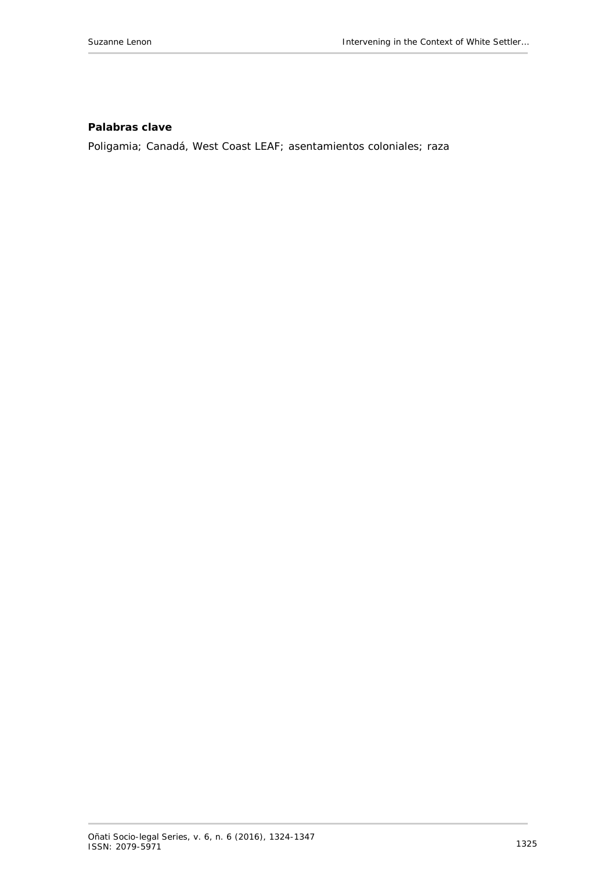#### **Palabras clave**

Poligamia; Canadá, West Coast LEAF; asentamientos coloniales; raza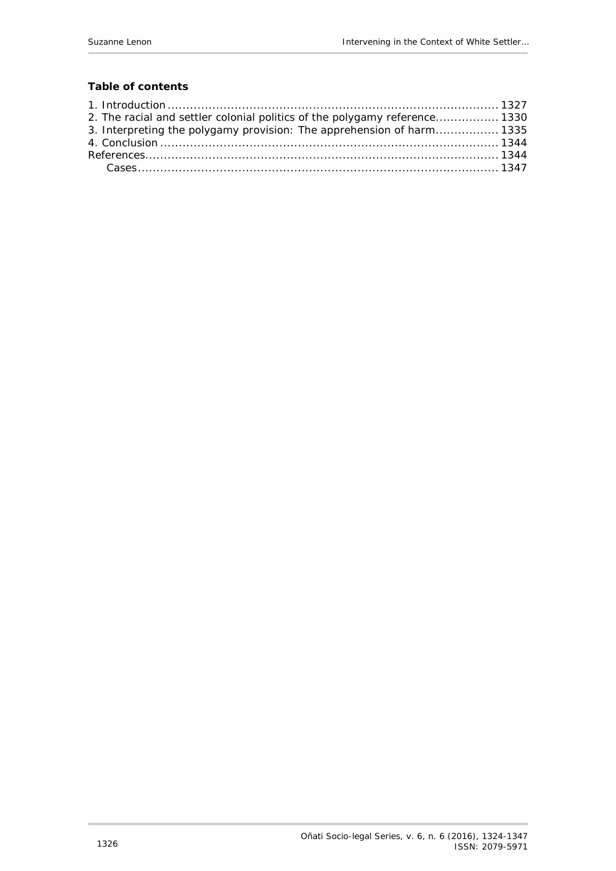## **Table of contents**

| 2. The racial and settler colonial politics of the polygamy reference 1330 |  |
|----------------------------------------------------------------------------|--|
| 3. Interpreting the polygamy provision: The apprehension of harm 1335      |  |
|                                                                            |  |
|                                                                            |  |
|                                                                            |  |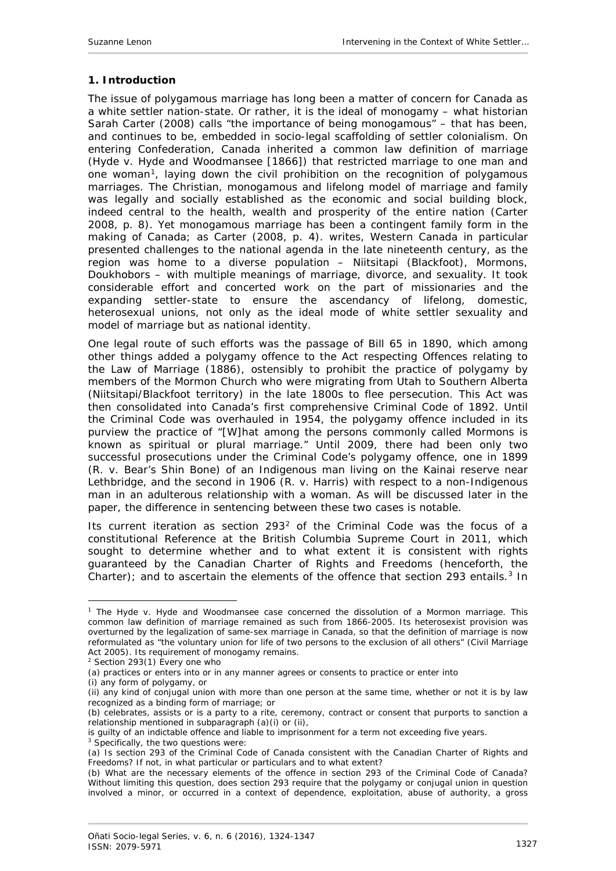#### <span id="page-3-0"></span>**1. Introduction**

The issue of polygamous marriage has long been a matter of concern for Canada as a white settler nation-state. Or rather, it is the ideal of monogamy – what historian Sarah Carter (2008) calls "the importance of being monogamous" – that has been, and continues to be, embedded in socio-legal scaffolding of settler colonialism. On entering Confederation, Canada inherited a common law definition of marriage (*Hyde v. Hyde and Woodmansee* [1866]) that restricted marriage to *one* man and *one* woman[1,](#page-3-1) laying down the civil prohibition on the recognition of polygamous marriages. The Christian, monogamous and lifelong model of marriage and family was legally and socially established as the economic and social building block, indeed central to the health, wealth and prosperity of the entire nation (Carter 2008, p. 8). Yet monogamous marriage has been a contingent family form in the making of Canada; as Carter (2008, p. 4). writes, Western Canada in particular presented challenges to the national agenda in the late nineteenth century, as the region was home to a diverse population – Niitsitapi (Blackfoot), Mormons, Doukhobors – with multiple meanings of marriage, divorce, and sexuality. It took considerable effort and concerted work on the part of missionaries and the expanding settler-state to ensure the ascendancy of lifelong, domestic, heterosexual unions, not only as the ideal mode of white settler sexuality and model of marriage but as national identity.

One legal route of such efforts was the passage of Bill 65 in 1890, which among other things added a polygamy offence to the *Act respecting Offences relating to the Law of Marriage* (1886), ostensibly to prohibit the practice of polygamy by members of the Mormon Church who were migrating from Utah to Southern Alberta (Niitsitapi/Blackfoot territory) in the late 1800s to flee persecution. This Act was then consolidated into Canada's first comprehensive *Criminal Code* of 1892. Until the *Criminal Code* was overhauled in 1954, the polygamy offence included in its purview the practice of "[W]hat among the persons commonly called Mormons is known as spiritual or plural marriage." Until 2009, there had been only two successful prosecutions under the *Criminal Code*'s polygamy offence, one in 1899 (*R. v. Bear's Shin Bone*) of an Indigenous man living on the Kainai reserve near Lethbridge, and the second in 1906 (*R. v. Harris*) with respect to a non-Indigenous man in an adulterous relationship with a woman. As will be discussed later in the paper, the difference in sentencing between these two cases is notable.

Its current iteration as section 293[2](#page-3-2) of the *Criminal Code* was the focus of a constitutional Reference at the British Columbia Supreme Court in 2011, which sought to determine whether and to what extent it is consistent with rights guaranteed by the Canadian *Charter of Rights and Freedoms* (henceforth, the *Charter*); and to ascertain the elements of the offence that section 29[3](#page-3-3) entails.<sup>3</sup> In

<span id="page-3-1"></span><sup>1</sup> The *Hyde v. Hyde and Woodmansee* case concerned the dissolution of a Mormon marriage. This common law definition of marriage remained as such from 1866-2005. Its *heterosexist* provision was overturned by the legalization of same-sex marriage in Canada, so that the definition of marriage is now reformulated as "the voluntary union for life of two persons to the exclusion of all others" (*Civil Marriage Act* 2005). Its requirement of monogamy remains.

<span id="page-3-2"></span> $2$  Section 293(1) Every one who

<sup>(</sup>a) practices or enters into or in any manner agrees or consents to practice or enter into

<sup>(</sup>i) any form of polygamy, or

<sup>(</sup>ii) any kind of conjugal union with more than one person at the same time, whether or not it is by law recognized as a binding form of marriage; or

<sup>(</sup>b) celebrates, assists or is a party to a rite, ceremony, contract or consent that purports to sanction a relationship mentioned in subparagraph (a)(i) or (ii),

is guilty of an indictable offence and liable to imprisonment for a term not exceeding five years.

<span id="page-3-3"></span><sup>&</sup>lt;sup>3</sup> Specifically, the two questions were:

<sup>(</sup>a) Is section 293 of the *Criminal Code of Canada* consistent with the Canadian *Charter of Rights and Freedoms*? If not, in what particular or particulars and to what extent?

<sup>(</sup>b) What are the necessary elements of the offence in section 293 of the *Criminal Code of Canada*? Without limiting this question, does section 293 require that the polygamy or conjugal union in question involved a minor, or occurred in a context of dependence, exploitation, abuse of authority, a gross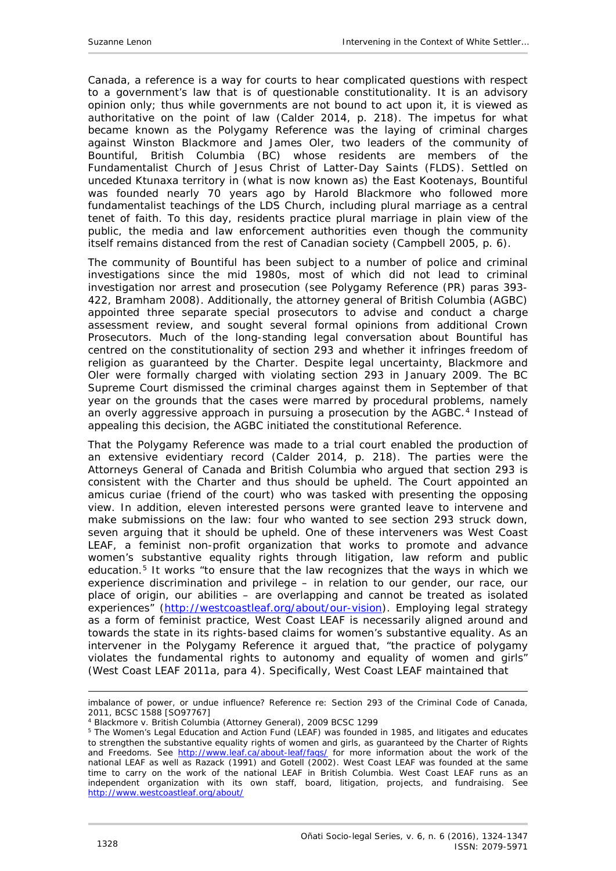Canada, a reference is a way for courts to hear complicated questions with respect to a government's law that is of questionable constitutionality. It is an advisory opinion only; thus while governments are not bound to act upon it, it is viewed as authoritative on the point of law (Calder 2014, p. 218). The impetus for what became known as the Polygamy Reference was the laying of criminal charges against Winston Blackmore and James Oler, two leaders of the community of Bountiful, British Columbia (BC) whose residents are members of the Fundamentalist Church of Jesus Christ of Latter-Day Saints (FLDS). Settled on unceded Ktunaxa territory in (what is now known as) the East Kootenays, Bountiful was founded nearly 70 years ago by Harold Blackmore who followed more fundamentalist teachings of the LDS Church, including plural marriage as a central tenet of faith. To this day, residents practice plural marriage in plain view of the public, the media and law enforcement authorities even though the community itself remains distanced from the rest of Canadian society (Campbell 2005, p. 6).

The community of Bountiful has been subject to a number of police and criminal investigations since the mid 1980s, most of which did not lead to criminal investigation nor arrest and prosecution (see Polygamy Reference (PR) paras 393- 422, Bramham 2008). Additionally, the attorney general of British Columbia (AGBC) appointed three separate special prosecutors to advise and conduct a charge assessment review, and sought several formal opinions from additional Crown Prosecutors. Much of the long-standing legal conversation about Bountiful has centred on the constitutionality of section 293 and whether it infringes freedom of religion as guaranteed by the *Charter*. Despite legal uncertainty, Blackmore and Oler were formally charged with violating section 293 in January 2009. The BC Supreme Court dismissed the criminal charges against them in September of that year on the grounds that the cases were marred by procedural problems, namely an overly aggressive approach in pursuing a prosecution by the AGBC.<sup>[4](#page-4-0)</sup> Instead of appealing this decision, the AGBC initiated the constitutional Reference.

That the Polygamy Reference was made to a trial court enabled the production of an extensive evidentiary record (Calder 2014, p. 218). The parties were the Attorneys General of Canada and British Columbia who argued that section 293 is consistent with the *Charter* and thus should be upheld. The Court appointed an *amicus curiae* (friend of the court) who was tasked with presenting the opposing view. In addition, eleven interested persons were granted leave to intervene and make submissions on the law: four who wanted to see section 293 struck down, seven arguing that it should be upheld. One of these interveners was West Coast LEAF, a feminist non-profit organization that works to promote and advance women's substantive equality rights through litigation, law reform and public education.<sup>[5](#page-4-1)</sup> It works "to ensure that the law recognizes that the ways in which we experience discrimination and privilege – in relation to our gender, our race, our place of origin, our abilities – are overlapping and cannot be treated as isolated experiences" [\(http://westcoastleaf.org/about/our-vision\)](http://westcoastleaf.org/about/our-vision). Employing legal strategy as a form of feminist practice, West Coast LEAF is necessarily aligned around and towards the state in its rights-based claims for women's substantive equality. As an intervener in the Polygamy Reference it argued that, "the practice of polygamy violates the fundamental rights to autonomy and equality of women and girls" (West Coast LEAF 2011a, para 4). Specifically, West Coast LEAF maintained that

 $\overline{a}$ 

imbalance of power, or undue influence? *Reference re: Section 293 of the Criminal Code of Canada, 2011, BCSC 1588 [SO97767]*

<span id="page-4-0"></span><sup>4</sup> *Blackmore v. British Columbia (Attorney General)*, 2009 BCSC 1299

<span id="page-4-1"></span><sup>5</sup> The Women's Legal Education and Action Fund (LEAF) was founded in 1985, and litigates and educates to strengthen the substantive equality rights of women and girls, as guaranteed by the *Charter of Rights and Freedoms*. See <http://www.leaf.ca/about-leaf/faqs/> for more information about the work of the national LEAF as well as Razack (1991) and Gotell (2002). West Coast LEAF was founded at the same time to carry on the work of the national LEAF in British Columbia. West Coast LEAF runs as an independent organization with its own staff, board, litigation, projects, and fundraising. See <http://www.westcoastleaf.org/about/>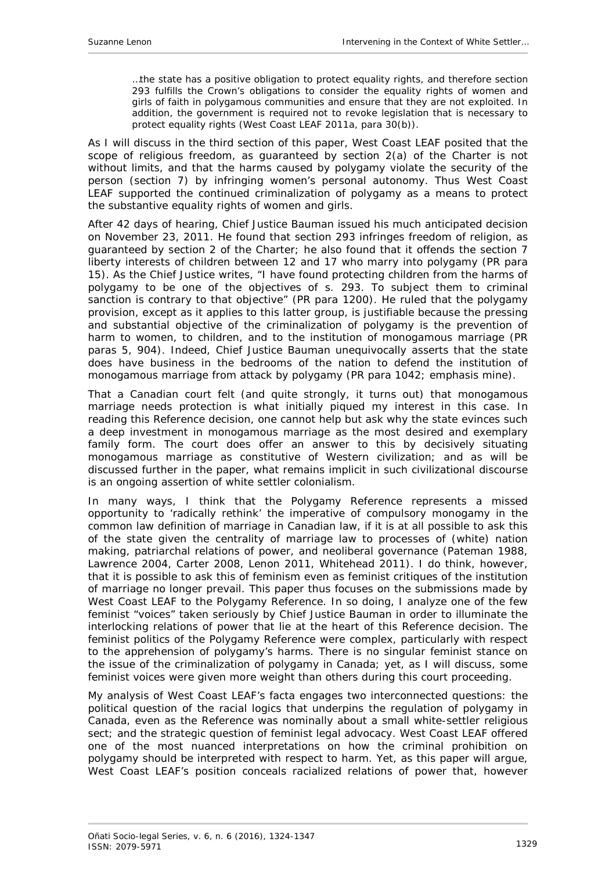…the state has a positive obligation to protect equality rights, and therefore section 293 fulfills the Crown's obligations to consider the equality rights of women and girls of faith in polygamous communities and ensure that they are not exploited. In addition, the government is required not to revoke legislation that is necessary to protect equality rights (West Coast LEAF 2011a, para 30(b)).

As I will discuss in the third section of this paper, West Coast LEAF posited that the scope of religious freedom, as guaranteed by section 2(a) of the *Charter* is not without limits, and that the harms caused by polygamy violate the security of the person (section 7) by infringing women's personal autonomy. Thus West Coast LEAF supported the continued criminalization of polygamy as a means to protect the substantive equality rights of women and girls.

After 42 days of hearing, Chief Justice Bauman issued his much anticipated decision on November 23, 2011. He found that section 293 infringes freedom of religion, as guaranteed by section 2 of the *Charter*; he also found that it offends the section 7 liberty interests of children between 12 and 17 who marry into polygamy (PR para 15). As the Chief Justice writes, "I have found protecting children from the harms of polygamy to be one of the objectives of s. 293. To subject them to criminal sanction is contrary to that objective" (PR para 1200). He ruled that the polygamy provision, except as it applies to this latter group, is justifiable because the pressing and substantial objective of the criminalization of polygamy is the prevention of harm to women, to children, and to the institution of monogamous marriage (PR paras 5, 904). Indeed, Chief Justice Bauman unequivocally asserts that the state *does* have business in the bedrooms of the nation to defend the institution of monogamous marriage from attack by polygamy (PR para 1042; emphasis mine).

That a Canadian court felt (and quite strongly, it turns out) that monogamous marriage needs protection is what initially piqued my interest in this case. In reading this Reference decision, one cannot help but ask *why* the state evinces such a deep investment in monogamous marriage as the most desired and exemplary family form. The court does offer an answer to this by decisively situating monogamous marriage as constitutive of Western civilization; and as will be discussed further in the paper, what remains implicit in such civilizational discourse is an ongoing assertion of white settler colonialism.

In many ways, I think that the Polygamy Reference represents a missed opportunity to 'radically rethink' the imperative of compulsory monogamy in the common law definition of marriage in Canadian law, if it is at all possible to ask this of the state given the centrality of marriage law to processes of (white) nation making, patriarchal relations of power, and neoliberal governance (Pateman 1988, Lawrence 2004, Carter 2008, Lenon 2011, Whitehead 2011). I do think, however, that it is possible to ask this of feminism even as feminist critiques of the institution of marriage no longer prevail. This paper thus focuses on the submissions made by West Coast LEAF to the Polygamy Reference. In so doing, I analyze one of the few feminist "voices" taken seriously by Chief Justice Bauman in order to illuminate the interlocking relations of power that lie at the heart of this Reference decision. The feminist politics of the Polygamy Reference were complex, particularly with respect to the apprehension of polygamy's harms. There is no singular feminist stance on the issue of the criminalization of polygamy in Canada; yet, as I will discuss, some feminist voices were given more weight than others during this court proceeding.

My analysis of West Coast LEAF's facta engages two interconnected questions: the political question of the racial logics that underpins the regulation of polygamy in Canada, even as the Reference was nominally about a small white-settler religious sect; and the strategic question of feminist legal advocacy. West Coast LEAF offered one of the most nuanced interpretations on how the criminal prohibition on polygamy should be interpreted with respect to harm. Yet, as this paper will argue, West Coast LEAF's position conceals racialized relations of power that, however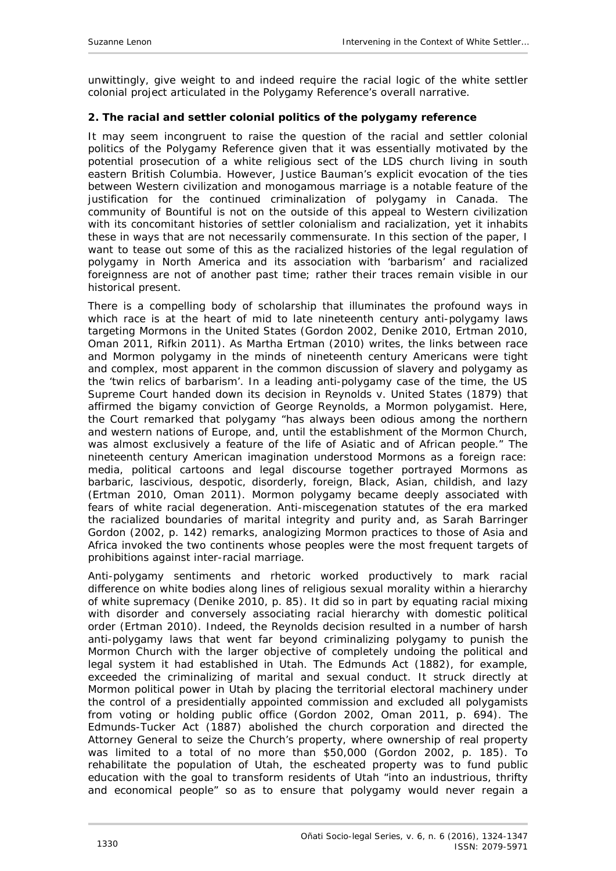unwittingly, give weight to and indeed *require* the racial logic of the white settler colonial project articulated in the Polygamy Reference's overall narrative.

#### <span id="page-6-0"></span>**2. The racial and settler colonial politics of the polygamy reference**

It may seem incongruent to raise the question of the racial and settler colonial politics of the Polygamy Reference given that it was essentially motivated by the potential prosecution of a white religious sect of the LDS church living in south eastern British Columbia. However, Justice Bauman's explicit evocation of the ties between Western civilization and monogamous marriage is a notable feature of the justification for the continued criminalization of polygamy in Canada. The community of Bountiful is not on the outside of this appeal to Western civilization with its concomitant histories of settler colonialism and racialization, yet it inhabits these in ways that are not necessarily commensurate. In this section of the paper, I want to tease out some of this as the racialized histories of the legal regulation of polygamy in North America and its association with 'barbarism' and racialized foreignness are not of another past time; rather their traces remain visible in our historical present.

There is a compelling body of scholarship that illuminates the profound ways in which race is at the heart of mid to late nineteenth century anti-polygamy laws targeting Mormons in the United States (Gordon 2002, Denike 2010, Ertman 2010, Oman 2011, Rifkin 2011). As Martha Ertman (2010) writes, the links between race and Mormon polygamy in the minds of nineteenth century Americans were tight and complex, most apparent in the common discussion of slavery and polygamy as the 'twin relics of barbarism'. In a leading anti-polygamy case of the time, the US Supreme Court handed down its decision in *Reynolds v. United States* (1879) that affirmed the bigamy conviction of George Reynolds, a Mormon polygamist. Here, the Court remarked that polygamy "has always been odious among the northern and western nations of Europe, and, until the establishment of the Mormon Church, was almost exclusively a feature of the life of Asiatic and of African people." The nineteenth century American imagination understood Mormons as a foreign race: media, political cartoons and legal discourse together portrayed Mormons as barbaric, lascivious, despotic, disorderly, foreign, Black, Asian, childish, and lazy (Ertman 2010, Oman 2011). Mormon polygamy became deeply associated with fears of white racial degeneration. Anti-miscegenation statutes of the era marked the racialized boundaries of marital integrity and purity and, as Sarah Barringer Gordon (2002, p. 142) remarks, analogizing Mormon practices to those of Asia and Africa invoked the two continents whose peoples were the most frequent targets of prohibitions against inter-racial marriage.

Anti-polygamy sentiments and rhetoric worked productively to mark racial difference on white bodies along lines of religious sexual morality within a hierarchy of white supremacy (Denike 2010, p. 85). It did so in part by equating racial mixing with disorder and conversely associating racial hierarchy with domestic political order (Ertman 2010). Indeed, the *Reynolds* decision resulted in a number of harsh anti-polygamy laws that went far beyond criminalizing polygamy to punish the Mormon Church with the larger objective of completely undoing the political and legal system it had established in Utah. The Edmunds Act (1882), for example, exceeded the criminalizing of marital and sexual conduct. It struck directly at Mormon political power in Utah by placing the territorial electoral machinery under the control of a presidentially appointed commission and excluded all polygamists from voting or holding public office (Gordon 2002, Oman 2011, p. 694). The Edmunds-Tucker Act (1887) abolished the church corporation and directed the Attorney General to seize the Church's property, where ownership of real property was limited to a total of no more than \$50,000 (Gordon 2002, p. 185). To rehabilitate the population of Utah, the escheated property was to fund public education with the goal to transform residents of Utah "into an industrious, thrifty and economical people" so as to ensure that polygamy would never regain a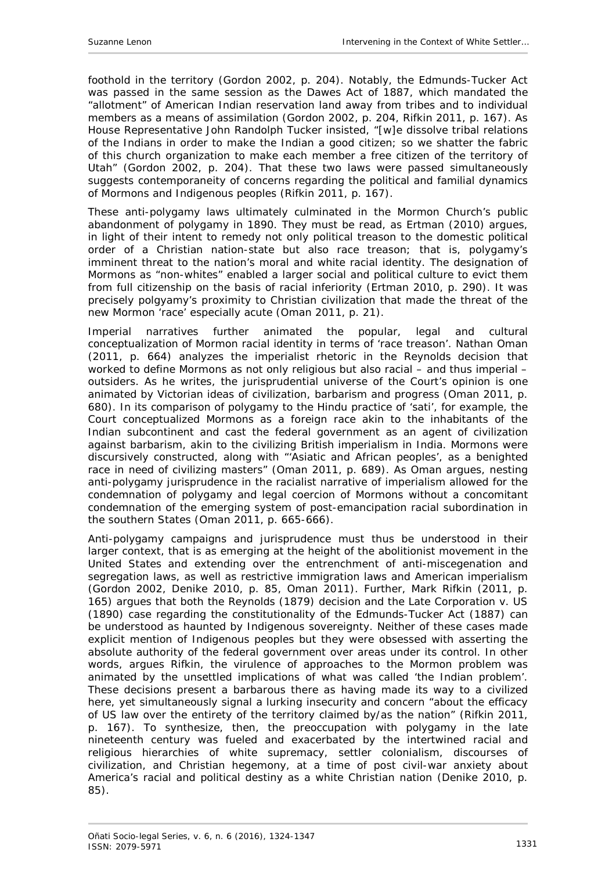foothold in the territory (Gordon 2002, p. 204). Notably, the Edmunds-Tucker Act was passed in the same session as the Dawes Act of 1887, which mandated the "allotment" of American Indian reservation land away from tribes and to individual members as a means of assimilation (Gordon 2002, p. 204, Rifkin 2011, p. 167). As House Representative John Randolph Tucker insisted, "[w]e dissolve tribal relations of the Indians in order to make the Indian a good citizen; so we shatter the fabric of this church organization to make each member a free citizen of the territory of Utah" (Gordon 2002, p. 204). That these two laws were passed simultaneously suggests contemporaneity of concerns regarding the political and familial dynamics of Mormons and Indigenous peoples (Rifkin 2011, p. 167).

These anti-polygamy laws ultimately culminated in the Mormon Church's public abandonment of polygamy in 1890. They must be read, as Ertman (2010) argues, in light of their intent to remedy not only political treason to the domestic political order of a Christian nation-state but also race treason; that is, polygamy's imminent threat to the nation's moral and white racial identity. The designation of Mormons as "non-whites" enabled a larger social and political culture to evict them from full citizenship on the basis of racial inferiority (Ertman 2010, p. 290). It was precisely polgyamy's proximity to Christian civilization that made the threat of the new Mormon 'race' especially acute (Oman 2011, p. 21).

Imperial narratives further animated the popular, legal and cultural conceptualization of Mormon racial identity in terms of 'race treason'. Nathan Oman (2011, p. 664) analyzes the imperialist rhetoric in the Reynolds decision that worked to define Mormons as not only religious but also racial – and thus imperial – outsiders. As he writes, the jurisprudential universe of the Court's opinion is one animated by Victorian ideas of civilization, barbarism and progress (Oman 2011, p. 680). In its comparison of polygamy to the Hindu practice of 'sati', for example, the Court conceptualized Mormons as a foreign race akin to the inhabitants of the Indian subcontinent and cast the federal government as an agent of civilization against barbarism, akin to the civilizing British imperialism in India. Mormons were discursively constructed, along with "'Asiatic and African peoples', as a benighted race in need of civilizing masters" (Oman 2011, p. 689). As Oman argues, nesting anti-polygamy jurisprudence in the racialist narrative of imperialism allowed for the condemnation of polygamy and legal coercion of Mormons without a *concomitant* condemnation of the emerging system of post-emancipation racial subordination in the southern States (Oman 2011, p. 665-666).

Anti-polygamy campaigns and jurisprudence must thus be understood in their larger context, that is as emerging at the height of the abolitionist movement in the United States and extending over the entrenchment of anti-miscegenation and segregation laws, as well as restrictive immigration laws and American imperialism (Gordon 2002, Denike 2010, p. 85, Oman 2011). Further, Mark Rifkin (2011, p. 165) argues that both the *Reynolds* (1879) decision and the *Late Corporation v. US* (1890) case regarding the constitutionality of the Edmunds-Tucker Act (1887) can be understood as haunted by Indigenous sovereignty. Neither of these cases made explicit mention of Indigenous peoples but they were obsessed with asserting the absolute authority of the federal government over areas under its control. In other words, argues Rifkin, the virulence of approaches to the Mormon problem was animated by the unsettled implications of what was called 'the Indian problem'. These decisions present a barbarous *there* as having made its way to a civilized *here*, yet simultaneously signal a lurking insecurity and concern "about the efficacy of US law over the entirety of the territory claimed by/as the nation" (Rifkin 2011, p. 167). To synthesize, then, the preoccupation with polygamy in the late nineteenth century was fueled and exacerbated by the intertwined racial and religious hierarchies of white supremacy, settler colonialism, discourses of civilization, and Christian hegemony, at a time of post civil-war anxiety about America's racial and political destiny as a white Christian nation (Denike 2010, p. 85).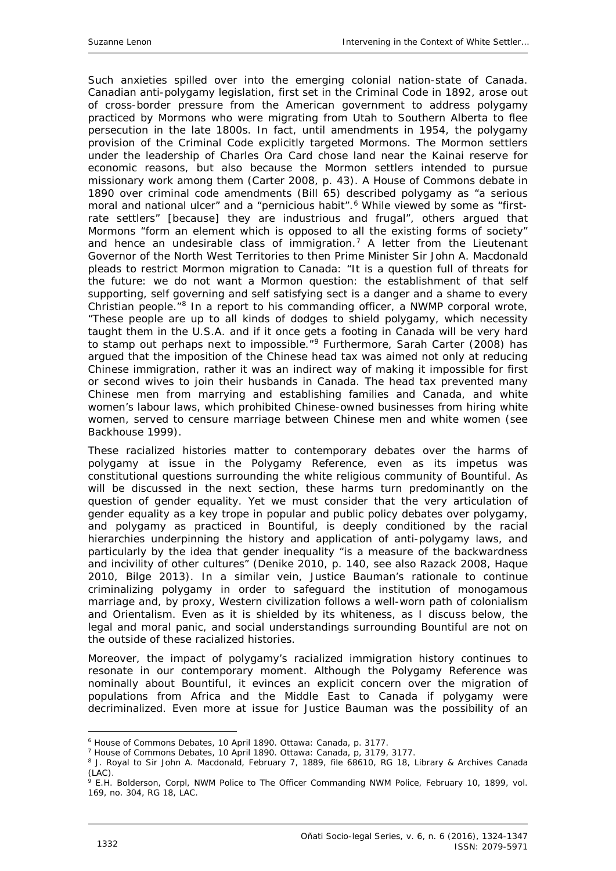Such anxieties spilled over into the emerging colonial nation-state of Canada. Canadian anti-polygamy legislation, first set in the *Criminal Code* in 1892, arose out of cross-border pressure from the American government to address polygamy practiced by Mormons who were migrating from Utah to Southern Alberta to flee persecution in the late 1800s. In fact, until amendments in 1954, the polygamy provision of the Criminal Code explicitly targeted Mormons. The Mormon settlers under the leadership of Charles Ora Card chose land near the Kainai reserve for economic reasons, but also because the Mormon settlers intended to pursue missionary work among them (Carter 2008, p. 43). A House of Commons debate in 1890 over criminal code amendments (Bill 65) described polygamy as "a serious moral and national ulcer" and a "pernicious habit".<sup>[6](#page-8-0)</sup> While viewed by some as "firstrate settlers" [because] they are industrious and frugal", others argued that Mormons "form an element which is opposed to all the existing forms of society" and hence an undesirable class of immigration.<sup>[7](#page-8-1)</sup> A letter from the Lieutenant Governor of the North West Territories to then Prime Minister Sir John A. Macdonald pleads to restrict Mormon migration to Canada: "It is a question full of threats for the future: we do not want a Mormon question: the establishment of that self supporting, self governing and self satisfying sect is a danger and a shame to every Christian people."[8](#page-8-2) In a report to his commanding officer, a NWMP corporal wrote, "These people are up to all kinds of dodges to shield polygamy, which necessity taught them in the U.S.A. and if it once gets a footing in Canada will be very hard to stamp out perhaps next to impossible."<sup>[9](#page-8-3)</sup> Furthermore, Sarah Carter (2008) has argued that the imposition of the Chinese head tax was aimed not only at reducing Chinese immigration, rather it was an indirect way of making it impossible for first or second wives to join their husbands in Canada. The head tax prevented many Chinese men from marrying and establishing families and Canada, and white women's labour laws, which prohibited Chinese-owned businesses from hiring white women, served to censure marriage between Chinese men and white women (see Backhouse 1999).

These racialized histories matter to contemporary debates over the harms of polygamy at issue in the Polygamy Reference, even as its impetus was constitutional questions surrounding the white religious community of Bountiful. As will be discussed in the next section, these harms turn predominantly on the question of gender equality. Yet we must consider that the very articulation of gender equality as a key trope in popular and public policy debates over polygamy, and polygamy as practiced in Bountiful, is deeply *conditioned* by the racial hierarchies underpinning the history and application of anti-polygamy laws, and particularly by the idea that gender *in*equality "is a measure of the backwardness and incivility of *other* cultures" (Denike 2010, p. 140, see also Razack 2008, Haque 2010, Bilge 2013). In a similar vein, Justice Bauman's rationale to continue criminalizing polygamy in order to safeguard the institution of monogamous marriage and, by proxy, Western civilization follows a well-worn path of colonialism and Orientalism. Even as it is shielded by its whiteness, as I discuss below, the legal and moral panic, and social understandings surrounding Bountiful are not on the outside of these racialized histories.

Moreover, the impact of polygamy's racialized immigration history continues to resonate in our contemporary moment. Although the Polygamy Reference was nominally about Bountiful, it evinces an explicit concern over the migration of populations from Africa and the Middle East to Canada if polygamy were decriminalized. Even more at issue for Justice Bauman was the possibility of an

<span id="page-8-1"></span><span id="page-8-0"></span><sup>6</sup> *House of Commons Debates*, 10 April 1890. Ottawa: Canada, p. 3177.

<sup>7</sup> *House of Commons Debates*, 10 April 1890. Ottawa: Canada, p, 3179, 3177.

<span id="page-8-2"></span><sup>&</sup>lt;sup>8</sup> J. Royal to Sir John A. Macdonald, February 7, 1889, file 68610, RG 18, Library & Archives Canada (LAC).

<span id="page-8-3"></span><sup>9</sup> E.H. Bolderson, Corpl, NWM Police to The Officer Commanding NWM Police, February 10, 1899, vol. 169, no. 304, RG 18, LAC.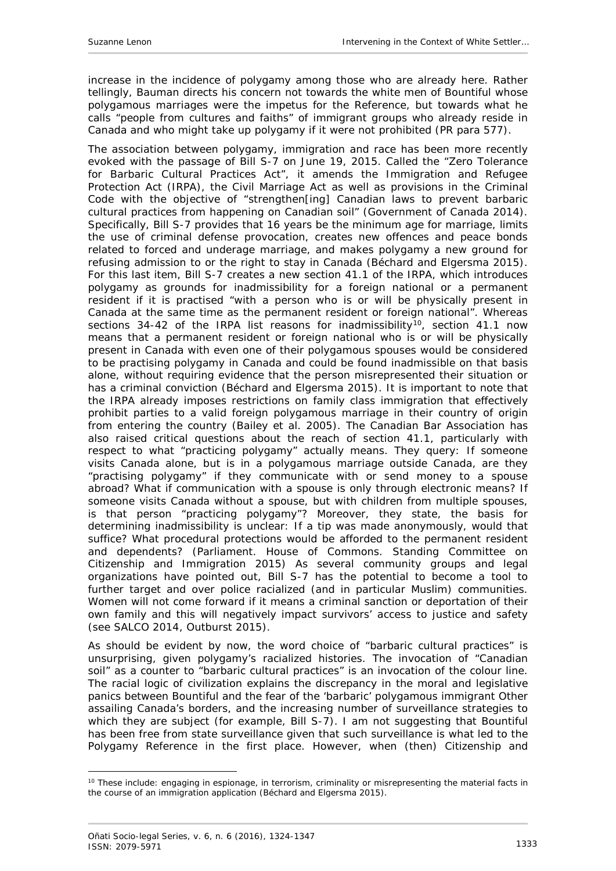increase in the incidence of polygamy among those who are already here. Rather tellingly, Bauman directs his concern not towards the white men of Bountiful whose polygamous marriages were the impetus for the Reference, but towards what he calls "people from cultures and faiths" of immigrant groups who already reside in Canada and who might take up polygamy if it were not prohibited (PR para 577).

The association between polygamy, immigration and race has been more recently evoked with the passage of Bill S-7 on June 19, 2015. Called the "Zero Tolerance for Barbaric Cultural Practices Act", it amends the *Immigration and Refugee Protection Act* (IRPA)*, the Civil Marriage Act* as well as provisions in the *Criminal Code* with the objective of "strengthen[ing] Canadian laws to prevent barbaric cultural practices from happening on Canadian soil" (Government of Canada 2014). Specifically, Bill S-7 provides that 16 years be the minimum age for marriage, limits the use of criminal defense provocation, creates new offences and peace bonds related to forced and underage marriage, and makes polygamy a new ground for refusing admission to or the right to stay in Canada (Béchard and Elgersma 2015). For this last item, Bill S-7 creates a new section 41.1 of the IRPA, which introduces polygamy as grounds for inadmissibility for a foreign national or a permanent resident if it is practised "with a person who is or will be physically present in Canada at the same time as the permanent resident or foreign national". Whereas sections 34-42 of the IRPA list reasons for inadmissibility<sup>10</sup>, section 41.1 now means that a permanent resident or foreign national who is or will be physically present in Canada *with even one* of their polygamous spouses would be considered to be practising polygamy in Canada and could be found inadmissible *on that basis alone,* without requiring evidence that the person misrepresented their situation or has a criminal conviction (Béchard and Elgersma 2015). It is important to note that the IRPA *already* imposes restrictions on family class immigration that effectively prohibit parties to a valid foreign polygamous marriage in their country of origin from entering the country (Bailey *et al*. 2005). The Canadian Bar Association has also raised critical questions about the reach of section 41.1, particularly with respect to what "practicing polygamy" actually means. They query: If someone visits Canada alone, but is in a polygamous marriage outside Canada, are they "practising polygamy" if they communicate with or send money to a spouse abroad? What if communication with a spouse is only through electronic means? If someone visits Canada without a spouse, but with children from multiple spouses, is that person "practicing polygamy"? Moreover, they state, the basis for determining inadmissibility is unclear: If a tip was made anonymously, would that suffice? What procedural protections would be afforded to the permanent resident and dependents? (Parliament. House of Commons. Standing Committee on Citizenship and Immigration 2015) As several community groups and legal organizations have pointed out, Bill S-7 has the potential to become a tool to further target and over police racialized (and in particular Muslim) communities. Women will not come forward if it means a criminal sanction or deportation of their own family and this will negatively impact survivors' access to justice and safety (see SALCO 2014, Outburst 2015).

As should be evident by now, the word choice of "barbaric cultural practices" is unsurprising, given polygamy's racialized histories. The invocation of "Canadian soil" as a counter to "barbaric cultural practices" is an invocation of the colour line. The racial logic of civilization explains the discrepancy in the moral and legislative panics between Bountiful and the fear of the 'barbaric' polygamous immigrant Other assailing Canada's borders, and the increasing number of surveillance strategies to which they are subject (for example, Bill S-7). I am not suggesting that Bountiful has been free from state surveillance given that such surveillance is what led to the Polygamy Reference in the first place. However, when (then) Citizenship and

-

<span id="page-9-0"></span><sup>&</sup>lt;sup>10</sup> These include: engaging in espionage, in terrorism, criminality or misrepresenting the material facts in the course of an immigration application (Béchard and Elgersma 2015).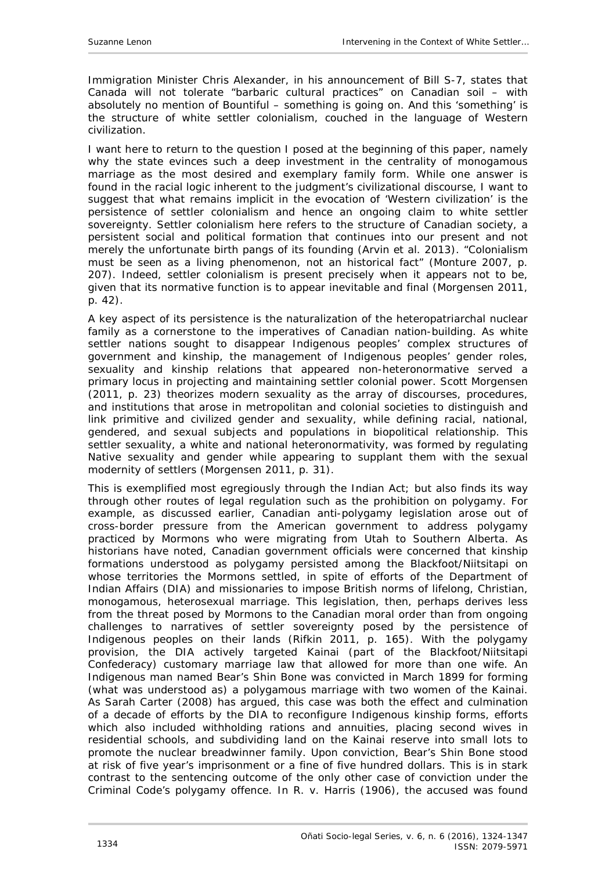Immigration Minister Chris Alexander, in his announcement of Bill S-7, states that Canada will not tolerate "barbaric cultural practices" on Canadian soil – with absolutely no mention of Bountiful – something is going on. And this 'something' is the structure of white settler colonialism, couched in the language of Western civilization.

I want here to return to the question I posed at the beginning of this paper, namely why the state evinces such a deep investment in the centrality of monogamous marriage as the most desired and exemplary family form. While one answer is found in the racial logic inherent to the judgment's civilizational discourse, I want to suggest that what remains implicit in the evocation of 'Western civilization' is the persistence of settler colonialism and hence an ongoing claim to white settler sovereignty. Settler colonialism here refers to the structure of Canadian society, a persistent social and political formation that continues into our present and not merely the unfortunate birth pangs of its founding (Arvin *et al*. 2013). "Colonialism must be seen as a living phenomenon, not an historical fact" (Monture 2007, p. 207). Indeed, settler colonialism is present precisely when it appears not to be, given that its normative function is to appear inevitable and final (Morgensen 2011, p. 42).

A key aspect of its persistence is the naturalization of the heteropatriarchal nuclear family as a cornerstone to the imperatives of Canadian nation-building. As white settler nations sought to disappear Indigenous peoples' complex structures of government and kinship, the management of Indigenous peoples' gender roles, sexuality and kinship relations that appeared non-heteronormative served a primary locus in projecting and maintaining settler colonial power. Scott Morgensen (2011, p. 23) theorizes modern sexuality as the array of discourses, procedures, and institutions that arose in metropolitan and colonial societies to distinguish and link primitive and civilized gender and sexuality, while defining racial, national, gendered, and sexual subjects and populations in biopolitical relationship. This settler sexuality, a white and national heteronormativity, was formed by regulating Native sexuality and gender while appearing to supplant them with the sexual modernity of settlers (Morgensen 2011, p. 31).

This is exemplified most egregiously through the *Indian Act*; but also finds its way through other routes of legal regulation such as the prohibition on polygamy. For example, as discussed earlier, Canadian anti-polygamy legislation arose out of cross-border pressure from the American government to address polygamy practiced by Mormons who were migrating from Utah to Southern Alberta. As historians have noted, Canadian government officials were concerned that kinship formations understood as polygamy persisted among the Blackfoot/Niitsitapi on whose territories the Mormons settled, in spite of efforts of the Department of Indian Affairs (DIA) and missionaries to impose British norms of lifelong, Christian, monogamous, heterosexual marriage. This legislation, then, perhaps derives less from the threat posed by Mormons to the Canadian moral order than from ongoing challenges to narratives of settler sovereignty posed by the persistence of Indigenous peoples on their lands (Rifkin 2011, p. 165). With the polygamy provision, the DIA actively targeted Kainai (part of the Blackfoot/Niitsitapi Confederacy) customary marriage law that allowed for more than one wife. An Indigenous man named Bear's Shin Bone was convicted in March 1899 for forming (what was understood as) a polygamous marriage with two women of the Kainai. As Sarah Carter (2008) has argued, this case was both the effect and culmination of a decade of efforts by the DIA to reconfigure Indigenous kinship forms, efforts which also included withholding rations and annuities, placing second wives in residential schools, and subdividing land on the Kainai reserve into small lots to promote the nuclear breadwinner family. Upon conviction, Bear's Shin Bone stood at risk of five year's imprisonment or a fine of five hundred dollars. This is in stark contrast to the sentencing outcome of the only other case of conviction under the Criminal Code's polygamy offence. In *R. v. Harris* (1906), the accused was found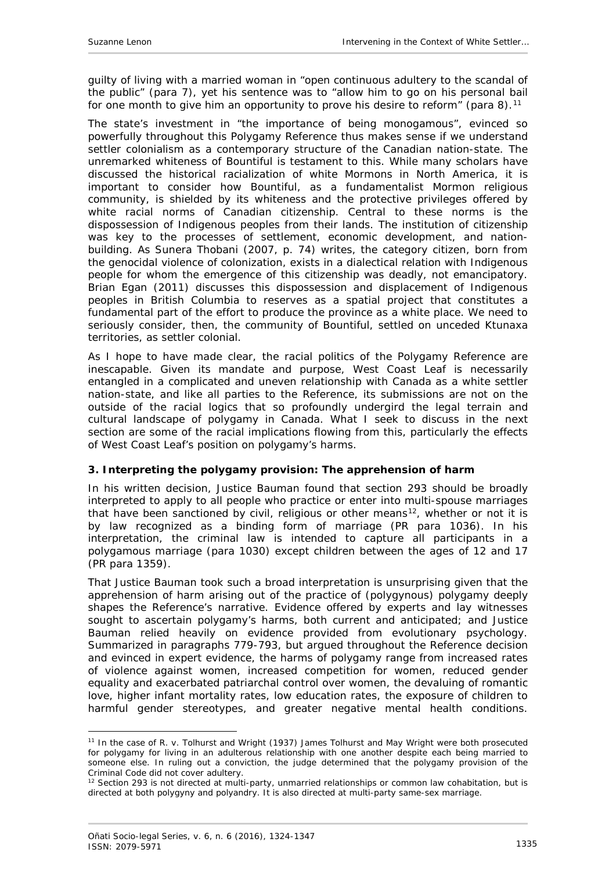guilty of living with a married woman in "open continuous adultery to the scandal of the public" (para 7), yet his sentence was to "allow him to go on his personal bail for one month to give him an opportunity to prove his desire to reform" (para 8).<sup>[11](#page-11-1)</sup>

The state's investment in "the importance of being monogamous", evinced so powerfully throughout this Polygamy Reference thus makes sense if we understand settler colonialism as a contemporary structure of the Canadian nation-state. The unremarked whiteness of Bountiful is testament to this. While many scholars have discussed the historical racialization of white Mormons in North America, it is important to consider how Bountiful, as a fundamentalist Mormon religious community, is shielded by its whiteness and the protective privileges offered by white racial norms of Canadian citizenship. Central to these norms is the dispossession of Indigenous peoples from their lands. The institution of citizenship was key to the processes of settlement, economic development, and nationbuilding. As Sunera Thobani (2007, p. 74) writes, the category citizen, born from the genocidal violence of colonization, exists in a dialectical relation with Indigenous people for whom the emergence of this citizenship was deadly, not emancipatory. Brian Egan (2011) discusses this dispossession and displacement of Indigenous peoples in British Columbia to reserves as a spatial project that constitutes a fundamental part of the effort to produce the province as a white place. We need to seriously consider, then, the community of Bountiful, settled on unceded Ktunaxa territories, *as settler colonial*.

As I hope to have made clear, the racial politics of the Polygamy Reference are inescapable. Given its mandate and purpose, West Coast Leaf is necessarily entangled in a complicated and uneven relationship with Canada as a white settler nation-state, and like all parties to the Reference, its submissions are not on the outside of the racial logics that so profoundly undergird the legal terrain and cultural landscape of polygamy in Canada. What I seek to discuss in the next section are some of the racial implications flowing from this, particularly the effects of West Coast Leaf's position on polygamy's harms.

### <span id="page-11-0"></span>**3. Interpreting the polygamy provision: The apprehension of harm**

In his written decision, Justice Bauman found that section 293 should be broadly interpreted to apply to all people who practice or enter into multi-spouse marriages that have been sanctioned by civil, religious or other means<sup>12</sup>, whether or not it is by law recognized as a binding form of marriage (PR para 1036). In his interpretation, the criminal law is intended to capture *all* participants in a polygamous marriage (para 1030) except children between the ages of 12 and 17 (PR para 1359).

That Justice Bauman took such a broad interpretation is unsurprising given that the apprehension of harm arising out of the practice of (polygynous) polygamy deeply shapes the Reference's narrative. Evidence offered by experts and lay witnesses sought to ascertain polygamy's harms, both current and anticipated; and Justice Bauman relied heavily on evidence provided from evolutionary psychology. Summarized in paragraphs 779-793, but argued throughout the Reference decision and evinced in expert evidence, the harms of polygamy range from increased rates of violence against women, increased competition for women, reduced gender equality and exacerbated patriarchal control over women, the devaluing of romantic love, higher infant mortality rates, low education rates, the exposure of children to harmful gender stereotypes, and greater negative mental health conditions.

<span id="page-11-1"></span><sup>&</sup>lt;u>.</u> <sup>11</sup> In the case of *R. v. Tolhurst and Wright* (1937) James Tolhurst and May Wright were both prosecuted for polygamy for living in an adulterous relationship with one another despite each being married to someone else. In ruling out a conviction, the judge determined that the polygamy provision of the *Criminal Code* did not cover adultery.<br><sup>12</sup> Section 293 is not directed at multi-party, unmarried relationships or common law cohabitation, but is

<span id="page-11-2"></span>directed at both polygyny and polyandry. It is also directed at multi-party same-sex marriage.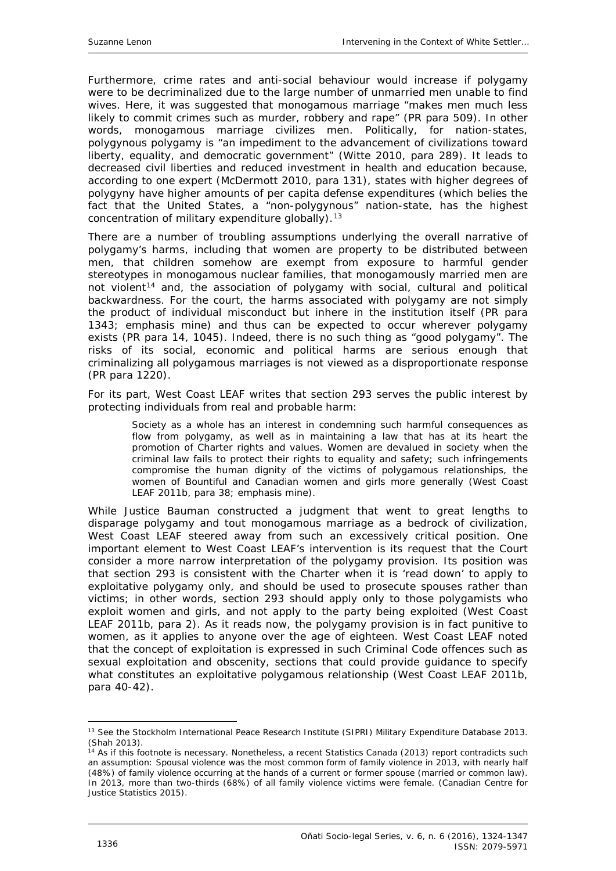Furthermore, crime rates and anti-social behaviour would increase if polygamy were to be decriminalized due to the large number of unmarried men unable to find wives. Here, it was suggested that monogamous marriage "makes men much less likely to commit crimes such as murder, robbery and rape" (PR para 509). In other words, monogamous marriage civilizes men. Politically, for nation-states, polygynous polygamy is "an impediment to the advancement of civilizations toward liberty, equality, and democratic government" (Witte 2010, para 289). It leads to decreased civil liberties and reduced investment in health and education because, according to one expert (McDermott 2010, para 131), states with higher degrees of polygyny have higher amounts of per capita defense expenditures (which belies the fact that the United States, a "non-polygynous" nation-state, has the highest concentration of military expenditure globally).  $13$ 

There are a number of troubling assumptions underlying the overall narrative of polygamy's harms, including that women are property to be distributed between men, that children somehow are exempt from exposure to harmful gender stereotypes in monogamous nuclear families, that monogamously married men are not violent<sup>[14](#page-12-1)</sup> and, the association of polygamy with social, cultural and political backwardness. For the court, the harms associated with polygamy are not simply the product of individual misconduct but *inhere in the institution itself* (PR para 1343; emphasis mine) and thus can be expected to occur wherever polygamy exists (PR para 14, 1045). Indeed, there is no such thing as "good polygamy". The risks of its social, economic and political harms are serious enough that criminalizing *all* polygamous marriages is not viewed as a disproportionate response (PR para 1220).

For its part, West Coast LEAF writes that section 293 serves the public interest by protecting individuals from real and probable harm:

Society as a whole has an interest in condemning such harmful consequences as flow from polygamy, as well as in maintaining a law that has at its heart the promotion of Charter rights and values. Women are devalued in society when the criminal law fails to protect their rights to equality and safety; such infringements compromise the human dignity of the *victims* of polygamous relationships, the women of Bountiful and Canadian women and girls more generally (West Coast LEAF 2011b, para 38; emphasis mine).

While Justice Bauman constructed a judgment that went to great lengths to disparage polygamy and tout monogamous marriage as a bedrock of civilization, West Coast LEAF steered away from such an excessively critical position. One important element to West Coast LEAF's intervention is its request that the Court consider a more narrow interpretation of the polygamy provision. Its position was that section 293 is consistent with the *Charter* when it is 'read down' to apply to *exploitative* polygamy only, and should be used to prosecute spouses rather than victims; in other words, section 293 should apply only to those polygamists who exploit women and girls, and not apply to the party being exploited (West Coast LEAF 2011b, para 2). As it reads now, the polygamy provision is in fact punitive to women, as it applies to *anyone* over the age of eighteen. West Coast LEAF noted that the concept of exploitation is expressed in such *Criminal Code* offences such as sexual exploitation and obscenity, sections that could provide guidance to specify what constitutes an exploitative polygamous relationship (West Coast LEAF 2011b, para 40-42).

<span id="page-12-0"></span><sup>&</sup>lt;sup>13</sup> See the Stockholm International Peace Research Institute (SIPRI) Military Expenditure Database 2013. (Shah 2013).

<span id="page-12-1"></span> $14$  As if this footnote is necessary. Nonetheless, a recent Statistics Canada (2013) report contradicts such an assumption: Spousal violence was the most common form of family violence in 2013, with nearly half (48%) of family violence occurring at the hands of a current or former spouse (married or common law). In 2013, more than two-thirds (68%) of all family violence victims were female. (Canadian Centre for Justice Statistics 2015).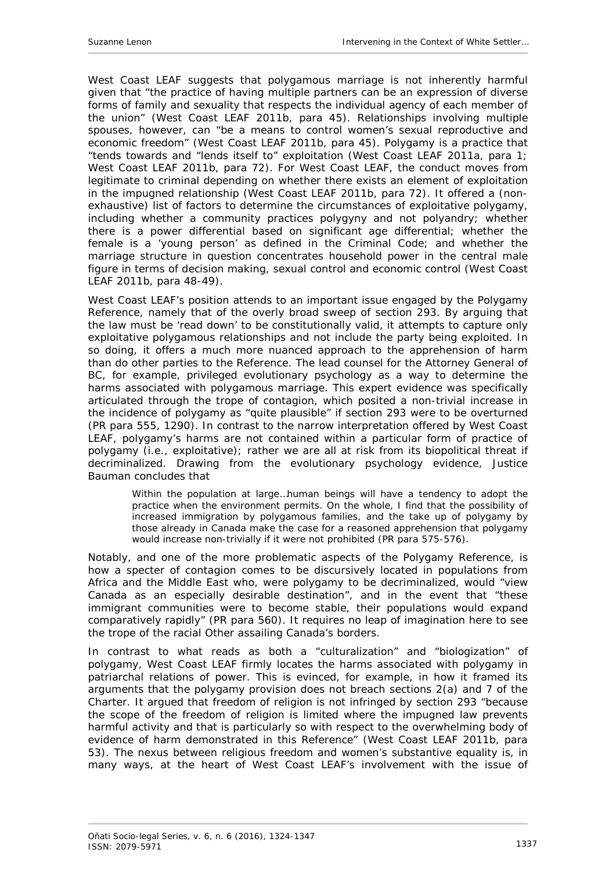West Coast LEAF suggests that polygamous marriage is not inherently harmful given that "the practice of having multiple partners can be an expression of diverse forms of family and sexuality that respects the individual agency of each member of the union" (West Coast LEAF 2011b, para 45). Relationships involving multiple spouses, however, can "be a means to control women's sexual reproductive and economic freedom" (West Coast LEAF 2011b, para 45). Polygamy is a practice that "tends towards and "lends itself to" exploitation (West Coast LEAF 2011a, para 1; West Coast LEAF 2011b, para 72). For West Coast LEAF, the conduct moves from legitimate to criminal depending on whether there exists an element of exploitation in the impugned relationship (West Coast LEAF 2011b, para 72). It offered a (nonexhaustive) list of factors to determine the circumstances of exploitative polygamy, including whether a community practices polygyny and not polyandry; whether there is a power differential based on significant age differential; whether the female is a 'young person' as defined in the *Criminal Code*; and whether the marriage structure in question concentrates household power in the central male figure in terms of decision making, sexual control and economic control (West Coast LEAF 2011b, para 48-49).

West Coast LEAF's position attends to an important issue engaged by the Polygamy Reference, namely that of the overly broad sweep of section 293. By arguing that the law must be 'read down' to be constitutionally valid, it attempts to capture *only* exploitative polygamous relationships and not include the party being exploited. In so doing, it offers a much more nuanced approach to the apprehension of harm than do other parties to the Reference. The lead counsel for the Attorney General of BC, for example, privileged evolutionary psychology as a way to determine the harms associated with polygamous marriage. This expert evidence was specifically articulated through the trope of contagion, which posited a *non-trivial* increase in the incidence of polygamy as "quite plausible" if section 293 were to be overturned (PR para 555, 1290). In contrast to the narrow interpretation offered by West Coast LEAF, polygamy's harms are not contained within a particular form of practice of polygamy (i.e., exploitative); rather *we are all at risk* from its biopolitical threat if decriminalized. Drawing from the evolutionary psychology evidence, Justice Bauman concludes that

Within the population at large…human beings will have a tendency to adopt the practice when the environment permits. On the whole, I find that the possibility of increased immigration by polygamous families, and the take up of polygamy by those already in Canada make the case for a reasoned apprehension that polygamy would increase non-trivially if it were not prohibited (PR para 575-576).

Notably, and one of the more problematic aspects of the Polygamy Reference, is how a specter of contagion comes to be discursively located in populations from Africa and the Middle East who, were polygamy to be decriminalized, would "view Canada as an especially desirable destination", and in the event that "these immigrant communities were to become stable, their populations would expand comparatively rapidly" (PR para 560). It requires no leap of imagination here to see the trope of the racial Other assailing Canada's borders.

In contrast to what reads as both a "culturalization" and "biologization" of polygamy, West Coast LEAF firmly locates the harms associated with polygamy in patriarchal relations of power. This is evinced, for example, in how it framed its arguments that the polygamy provision does not breach sections 2(a) and 7 of the *Charter*. It argued that freedom of religion is not infringed by section 293 "because the scope of the freedom of religion is limited where the impugned law prevents harmful activity and that is particularly so with respect to the overwhelming body of evidence of harm demonstrated in this Reference" (West Coast LEAF 2011b, para 53). The nexus between religious freedom and women's substantive equality is, in many ways, at the heart of West Coast LEAF's involvement with the issue of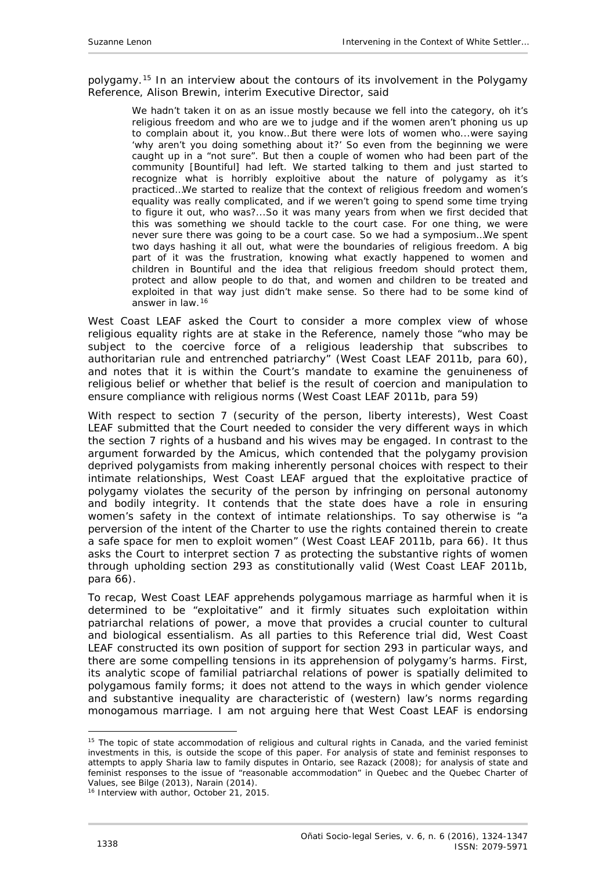polygamy.<sup>[15](#page-14-0)</sup> In an interview about the contours of its involvement in the Polygamy Reference, Alison Brewin, interim Executive Director, said

We hadn't taken it on as an issue mostly because we fell into the category, oh it's religious freedom and who are we to judge and if the women aren't phoning us up to complain about it, you know…But there were lots of women who...were saying 'why aren't you doing something about it?' So even from the beginning we were caught up in a "not sure". But then a couple of women who had been part of the community [Bountiful] had left. We started talking to them and just started to recognize what is horribly exploitive about the nature of polygamy as it's practiced…We started to realize that the context of religious freedom and women's equality was really complicated, and if we weren't going to spend some time trying to figure it out, who was?...So it was many years from when we first decided that this was something we should tackle to the court case. For one thing, we were never sure there was going to be a court case. So we had a symposium…We spent two days hashing it all out, what were the boundaries of religious freedom. A big part of it was the frustration, knowing what exactly happened to women and children in Bountiful and the idea that religious freedom should protect them, protect and allow people to do that, and women and children to be treated and exploited in that way just didn't make sense. So there had to be some kind of answer in law.[16](#page-14-1)

West Coast LEAF asked the Court to consider a more complex view of whose religious equality rights are at stake in the Reference, namely those "who may be subject to the coercive force of a religious leadership that subscribes to authoritarian rule and entrenched patriarchy" (West Coast LEAF 2011b, para 60), and notes that it is within the Court's mandate to examine the genuineness of religious belief or whether that belief is the result of coercion and manipulation to ensure compliance with religious norms (West Coast LEAF 2011b, para 59)

With respect to section 7 (security of the person, liberty interests), West Coast LEAF submitted that the Court needed to consider the very different ways in which the section 7 rights of a husband and his wives may be engaged. In contrast to the argument forwarded by the *Amicus*, which contended that the polygamy provision deprived polygamists from making inherently personal choices with respect to their intimate relationships, West Coast LEAF argued that the exploitative practice of polygamy violates the security of the person by infringing on personal autonomy and bodily integrity. It contends that the state does have a role in ensuring women's safety in the context of intimate relationships. To say otherwise is "a perversion of the intent of the *Charter* to use the rights contained therein to create a safe space for men to exploit women" (West Coast LEAF 2011b, para 66). It thus asks the Court to interpret section 7 as protecting the substantive rights of women through upholding section 293 as constitutionally valid (West Coast LEAF 2011b, para 66).

To recap, West Coast LEAF apprehends polygamous marriage as harmful when it is determined to be "exploitative" and it firmly situates such exploitation within patriarchal relations of power, a move that provides a crucial counter to cultural and biological essentialism. As all parties to this Reference trial did, West Coast LEAF constructed its own position of support for section 293 in particular ways, and there are some compelling tensions in its apprehension of polygamy's harms. First, its analytic scope of familial patriarchal relations of power is spatially delimited to polygamous family forms; it does not attend to the ways in which gender violence and substantive inequality are characteristic of (western) law's norms regarding monogamous marriage. I am not arguing here that West Coast LEAF is endorsing

<span id="page-14-0"></span><sup>&</sup>lt;sup>15</sup> The topic of state accommodation of religious and cultural rights in Canada, and the varied feminist investments in this, is outside the scope of this paper. For analysis of state and feminist responses to attempts to apply Sharia law to family disputes in Ontario, see Razack (2008); for analysis of state and feminist responses to the issue of "reasonable accommodation" in Quebec and the Quebec Charter of Values, see Bilge (2013), Narain (2014).

<span id="page-14-1"></span><sup>16</sup> Interview with author, October 21, 2015.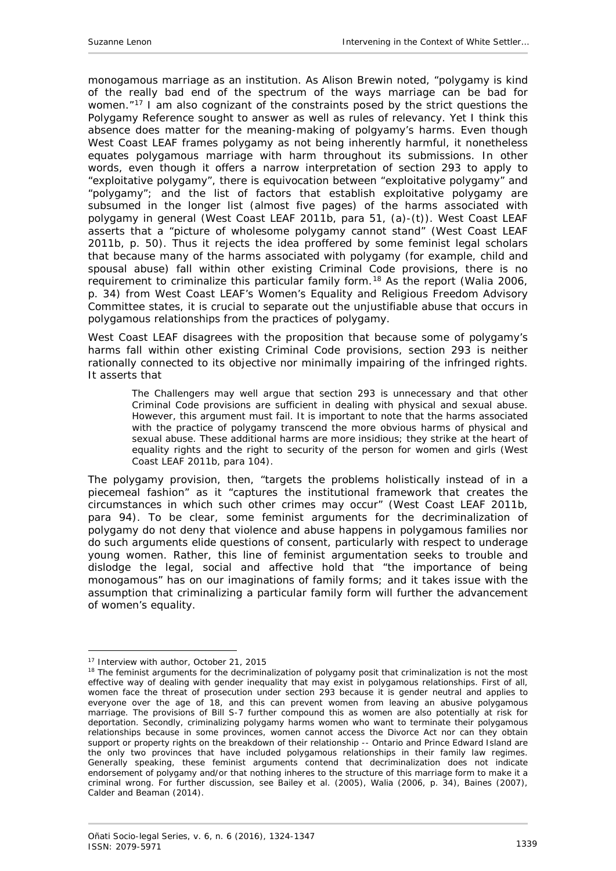monogamous marriage as an institution. As Alison Brewin noted, "polygamy is kind of the really bad end of the spectrum of the ways marriage can be bad for women."<sup>[17](#page-15-0)</sup> I am also cognizant of the constraints posed by the strict questions the Polygamy Reference sought to answer as well as rules of relevancy. Yet I think this absence does matter for the meaning-making of polgyamy's harms. Even though West Coast LEAF frames polygamy as not being inherently harmful, it nonetheless equates polygamous marriage with harm throughout its submissions. In other words, even though it offers a narrow interpretation of section 293 to apply to "exploitative polygamy", there is equivocation between "exploitative polygamy" and "polygamy"; and the list of factors that establish exploitative polygamy are subsumed in the longer list (almost five pages) of the harms associated with polygamy in general (West Coast LEAF 2011b, para 51, (a)-(t)). West Coast LEAF asserts that a "picture of wholesome polygamy cannot stand" (West Coast LEAF 2011b, p. 50). Thus it rejects the idea proffered by some feminist legal scholars that because many of the harms associated with polygamy (for example, child and spousal abuse) fall within other existing *Criminal Code* provisions, there is no requirement to criminalize this particular family form.[18](#page-15-1) As the report (Walia 2006, p. 34) from West Coast LEAF's Women's Equality and Religious Freedom Advisory Committee states, it is crucial to separate out the unjustifiable abuse that occurs in polygamous relationships from the practices of polygamy.

West Coast LEAF disagrees with the proposition that because some of polygamy's harms fall within other existing *Criminal Code* provisions, section 293 is neither rationally connected to its objective nor minimally impairing of the infringed rights. It asserts that

The Challengers may well argue that section 293 is unnecessary and that other Criminal Code provisions are sufficient in dealing with physical and sexual abuse. However, this argument must fail. It is important to note that the harms associated with the practice of polygamy transcend the more obvious harms of physical and sexual abuse. These additional harms are more insidious; they strike at the heart of equality rights and the right to security of the person for women and girls (West Coast LEAF 2011b, para 104).

The polygamy provision, then, "targets the problems holistically instead of in a piecemeal fashion" as it "captures the institutional framework that creates the circumstances in which such other crimes may occur" (West Coast LEAF 2011b, para 94). To be clear, some feminist arguments for the decriminalization of polygamy do not deny that violence and abuse happens in polygamous families nor do such arguments elide questions of consent, particularly with respect to underage young women. Rather, this line of feminist argumentation seeks to trouble and dislodge the legal, social and affective hold that "the importance of being monogamous" has on our imaginations of family forms; and it takes issue with the assumption that criminalizing a particular family form will further the advancement of women's equality.

<sup>-</sup>17 Interview with author, October 21, 2015

<span id="page-15-1"></span><span id="page-15-0"></span><sup>&</sup>lt;sup>18</sup> The feminist arguments for the decriminalization of polygamy posit that criminalization is not the most effective way of dealing with gender inequality that may exist in polygamous relationships. First of all, women face the threat of prosecution under section 293 because it is gender neutral and applies to everyone over the age of 18, and this can prevent women from leaving an abusive polygamous marriage. The provisions of Bill S-7 further compound this as women are also potentially at risk for deportation. Secondly, criminalizing polygamy harms women who want to terminate their polygamous relationships because in some provinces, women cannot access the *Divorce Act* nor can they obtain support or property rights on the breakdown of their relationship -- Ontario and Prince Edward Island are the only two provinces that have included polygamous relationships in their family law regimes. Generally speaking, these feminist arguments contend that decriminalization does not indicate endorsement of polygamy and/or that nothing inheres to the structure of this marriage form to make it a criminal wrong. For further discussion, see Bailey *et al*. (2005), Walia (2006, p. 34), Baines (2007), Calder and Beaman (2014).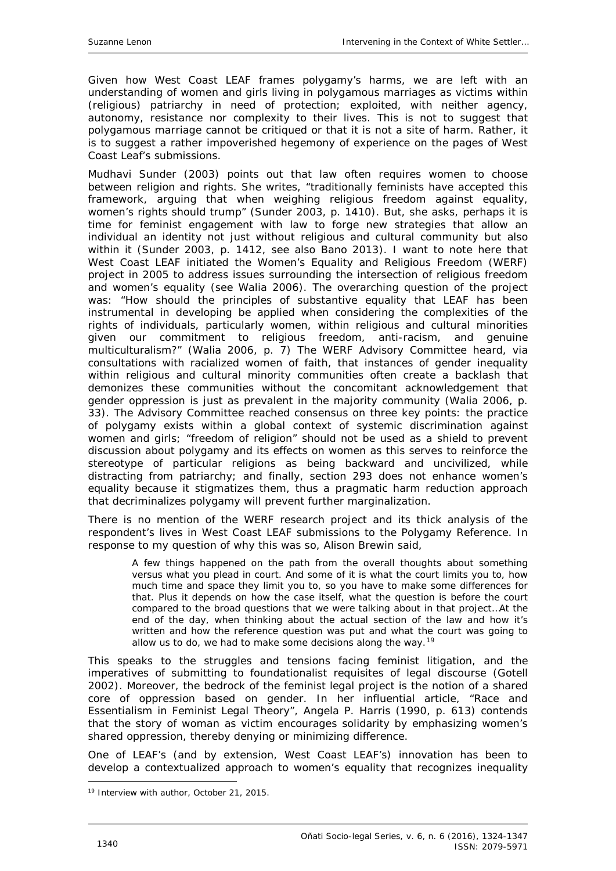Given how West Coast LEAF frames polygamy's harms, we are left with an understanding of women and girls living in polygamous marriages as victims within (religious) patriarchy in need of protection; exploited, with neither agency, autonomy, resistance nor complexity to their lives. This is not to suggest that polygamous marriage cannot be critiqued or that it is *not* a site of harm. Rather, it is to suggest a rather impoverished hegemony of experience on the pages of West Coast Leaf's submissions.

Mudhavi Sunder (2003) points out that law often requires women to choose between religion and rights. She writes, "traditionally feminists have accepted this framework, arguing that when weighing religious freedom against equality, women's rights should trump" (Sunder 2003, p. 1410). But, she asks, perhaps it is time for feminist engagement with law to forge new strategies that allow an individual an identity not just without religious and cultural community but also within it (Sunder 2003, p. 1412, see also Bano 2013). I want to note here that West Coast LEAF initiated the Women's Equality and Religious Freedom (WERF) project in 2005 to address issues surrounding the intersection of religious freedom and women's equality (see Walia 2006). The overarching question of the project was: "How should the principles of substantive equality that LEAF has been instrumental in developing be applied when considering the complexities of the rights of individuals, particularly women, within religious and cultural minorities given our commitment to religious freedom, anti-racism, and genuine multiculturalism?" (Walia 2006, p. 7) The WERF Advisory Committee heard, via consultations with racialized women of faith, that instances of gender inequality within religious and cultural minority communities often create a backlash that demonizes these communities *without* the concomitant acknowledgement that gender oppression is just as prevalent in the majority community (Walia 2006, p. 33). The Advisory Committee reached consensus on three key points: the practice of polygamy exists within a global context of systemic discrimination against women and girls; "freedom of religion" should not be used as a shield to prevent discussion about polygamy and its effects on women as this serves to reinforce the stereotype of particular religions as being backward and uncivilized, while distracting from patriarchy; and finally, section 293 does not enhance women's equality because it stigmatizes them, thus a pragmatic harm reduction approach that decriminalizes polygamy will prevent further marginalization.

There is no mention of the WERF research project and its thick analysis of the respondent's lives in West Coast LEAF submissions to the Polygamy Reference. In response to my question of why this was so, Alison Brewin said,

A few things happened on the path from the overall thoughts about something versus what you plead in court. And some of it is what the court limits you to, how much time and space they limit you to, so you have to make some differences for that. Plus it depends on how the case itself, what the question is before the court compared to the broad questions that we were talking about in that project…At the end of the day, when thinking about the actual section of the law and how it's written and how the reference question was put and what the court was going to allow us to do, we had to make some decisions along the way.<sup>[19](#page-16-0)</sup>

This speaks to the struggles and tensions facing feminist litigation, and the imperatives of submitting to foundationalist requisites of legal discourse (Gotell 2002). Moreover, the bedrock of the feminist legal project is the notion of a shared core of oppression based on gender. In her influential article, "Race and Essentialism in Feminist Legal Theory", Angela P. Harris (1990, p. 613) contends that the story of woman as victim encourages solidarity by emphasizing women's shared oppression, thereby denying or minimizing difference.

One of LEAF's (and by extension, West Coast LEAF's) innovation has been to develop a contextualized approach to women's equality that recognizes inequality

-

<span id="page-16-0"></span><sup>&</sup>lt;sup>19</sup> Interview with author, October 21, 2015.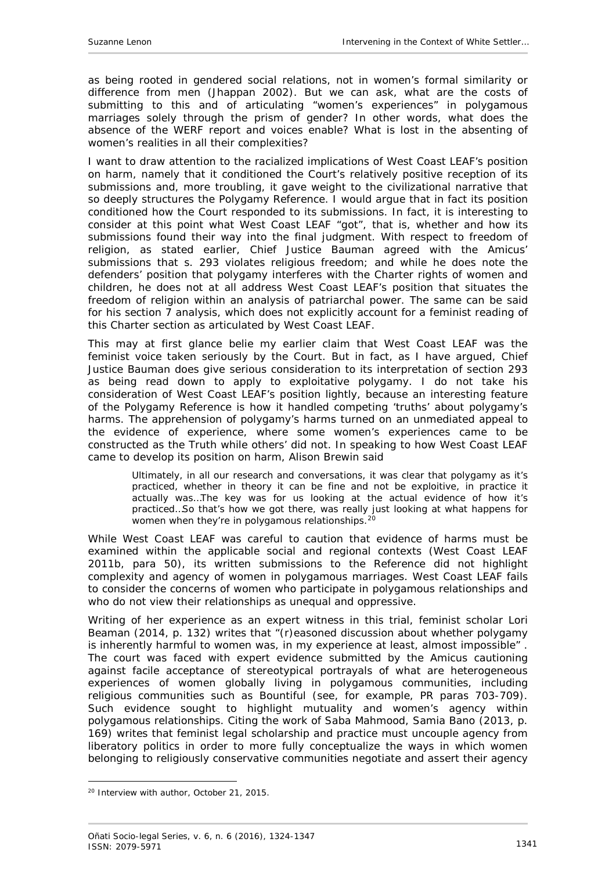as being rooted in gendered social relations, not in women's formal similarity or difference from men (Jhappan 2002). But we can ask, what are the costs of submitting to this and of articulating "women's experiences" in polygamous marriages solely through the prism of gender? In other words, what does the absence of the WERF report and voices enable? What is lost in the absenting of women's realities in all their complexities?

I want to draw attention to the racialized implications of West Coast LEAF's position on harm, namely that it conditioned the Court's relatively positive reception of its submissions and, more troubling, it gave weight to the civilizational narrative that so deeply structures the Polygamy Reference. I would argue that in fact its position conditioned how the Court responded to its submissions. In fact, it is interesting to consider at this point what West Coast LEAF "got", that is, whether and how its submissions found their way into the final judgment. With respect to freedom of religion, as stated earlier, Chief Justice Bauman agreed with the *Amicus'*  submissions that s. 293 violates religious freedom; and while he does note the defenders' position that polygamy interferes with the *Charter* rights of women and children, he does not at all address West Coast LEAF's position that situates the freedom of religion within an analysis of patriarchal power. The same can be said for his section 7 analysis, which does not explicitly account for a feminist reading of this *Charter* section as articulated by West Coast LEAF.

This may at first glance belie my earlier claim that West Coast LEAF was the feminist voice taken seriously by the Court. But in fact, as I have argued, Chief Justice Bauman does give serious consideration to its interpretation of section 293 as being read down to apply to exploitative polygamy. I do not take his consideration of West Coast LEAF's position lightly, because an interesting feature of the Polygamy Reference is how it handled competing 'truths' about polygamy's harms. The apprehension of polygamy's harms turned on an unmediated appeal to the evidence of experience, where some women's experiences came to be constructed as the Truth while others' did not. In speaking to how West Coast LEAF came to develop its position on harm, Alison Brewin said

Ultimately, in all our research and conversations, it was clear that polygamy as it's practiced, whether in theory it can be fine and not be exploitive, in practice it actually was…The key was for us looking at the actual evidence of how it's practiced…So that's how we got there, was really just looking at what happens for women when they're in polygamous relationships.<sup>[20](#page-17-0)</sup>

While West Coast LEAF was careful to caution that evidence of harms must be examined within the applicable social and regional contexts (West Coast LEAF 2011b, para 50), its written submissions to the Reference did not highlight complexity and agency of women in polygamous marriages. West Coast LEAF fails to consider the concerns of women who participate in polygamous relationships and who do not view their relationships as unequal and oppressive.

Writing of her experience as an expert witness in this trial, feminist scholar Lori Beaman (2014, p. 132) writes that "(r)easoned discussion about whether polygamy is inherently harmful to women was, in my experience at least, almost impossible" . The court was faced with expert evidence submitted by the *Amicus* cautioning against facile acceptance of stereotypical portrayals of what are heterogeneous experiences of women globally living in polygamous communities, including religious communities such as Bountiful (see, for example, PR paras 703-709). Such evidence sought to highlight mutuality and women's agency within polygamous relationships. Citing the work of Saba Mahmood, Samia Bano (2013, p. 169) writes that feminist legal scholarship and practice must uncouple agency from liberatory politics in order to more fully conceptualize the ways in which women belonging to religiously conservative communities negotiate and assert their agency

-

<span id="page-17-0"></span><sup>20</sup> Interview with author, October 21, 2015.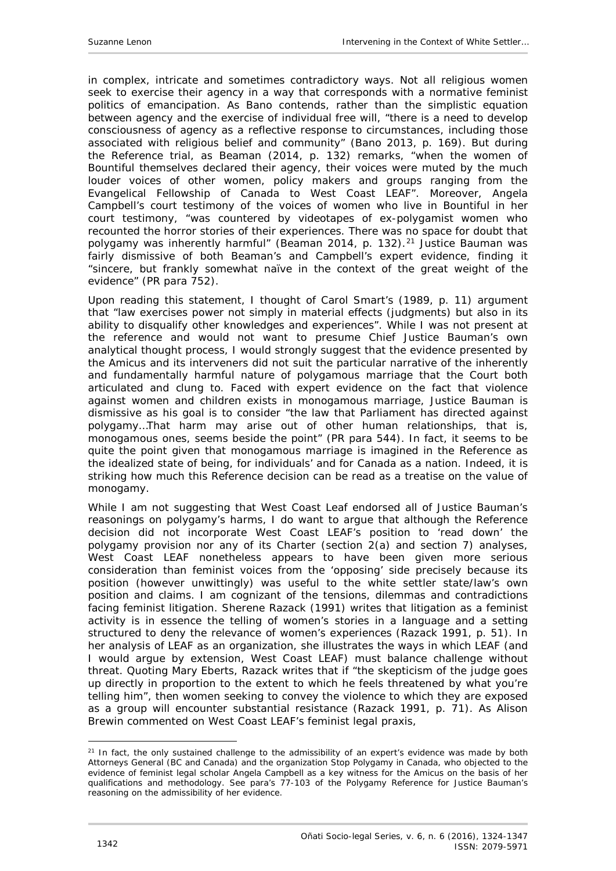in complex, intricate and sometimes contradictory ways. Not all religious women seek to exercise their agency in a way that corresponds with a normative feminist politics of emancipation. As Bano contends, rather than the simplistic equation between agency and the exercise of individual free will, "there is a need to develop consciousness of agency as a reflective response to circumstances, including those associated with religious belief and community" (Bano 2013, p. 169). But during the Reference trial, as Beaman (2014, p. 132) remarks, "when the women of Bountiful themselves declared their agency, their voices were muted by the much louder voices of other women, policy makers and groups ranging from the Evangelical Fellowship of Canada to West Coast LEAF". Moreover, Angela Campbell's court testimony of the voices of women who live in Bountiful in her court testimony, "was countered by videotapes of ex-polygamist women who recounted the horror stories of their experiences. There was no space for doubt that polygamy was inherently harmful" (Beaman 2014, p. 132).<sup>[21](#page-18-0)</sup> Justice Bauman was fairly dismissive of both Beaman's and Campbell's expert evidence, finding it "sincere, but frankly somewhat naïve in the context of the great weight of the evidence" (PR para 752).

Upon reading this statement, I thought of Carol Smart's (1989, p. 11) argument that "law exercises power not simply in material effects (judgments) but also in its ability to disqualify other knowledges and experiences". While I was not present at the reference and would not want to presume Chief Justice Bauman's own analytical thought process, I would strongly suggest that the evidence presented by the *Amicus* and its interveners did not suit the particular narrative of the inherently and fundamentally harmful nature of polygamous marriage that the Court both articulated and clung to. Faced with expert evidence on the fact that violence against women and children exists in monogamous marriage, Justice Bauman is dismissive as his goal is to consider "the law that Parliament has directed against polygamy…That harm may arise out of other human relationships, that is, monogamous ones, seems beside the point" (PR para 544). In fact, it seems to be quite the point given that monogamous marriage is imagined in the Reference as *the* idealized state of being, for individuals' and for Canada as a nation. Indeed, it is striking how much this Reference decision can be read as a treatise on the value of monogamy.

While I am not suggesting that West Coast Leaf endorsed all of Justice Bauman's reasonings on polygamy's harms, I do want to argue that although the Reference decision did not incorporate West Coast LEAF's position to 'read down' the polygamy provision nor any of its *Charter* (section 2(a) and section 7) analyses, West Coast LEAF nonetheless appears to have been given more serious consideration than feminist voices from the 'opposing' side precisely because its position (however unwittingly) was useful to the white settler state/law's own position and claims. I am cognizant of the tensions, dilemmas and contradictions facing feminist litigation. Sherene Razack (1991) writes that litigation as a feminist activity is in essence the telling of women's stories in a language and a setting structured to deny the relevance of women's experiences (Razack 1991, p. 51). In her analysis of LEAF as an organization, she illustrates the ways in which LEAF (and I would argue by extension, West Coast LEAF) must balance challenge without threat. Quoting Mary Eberts, Razack writes that if "the skepticism of the judge goes up directly in proportion to the extent to which he feels threatened by what you're telling him", then women seeking to convey the violence to which they are exposed as a group will encounter substantial resistance (Razack 1991, p. 71). As Alison Brewin commented on West Coast LEAF's feminist legal praxis,

<span id="page-18-0"></span><sup>&</sup>lt;sup>21</sup> In fact, the only sustained challenge to the admissibility of an expert's evidence was made by both Attorneys General (BC and Canada) and the organization Stop Polygamy in Canada, who objected to the evidence of feminist legal scholar Angela Campbell as a key witness for the Amicus on the basis of her qualifications and methodology. See para's 77-103 of the Polygamy Reference for Justice Bauman's reasoning on the admissibility of her evidence.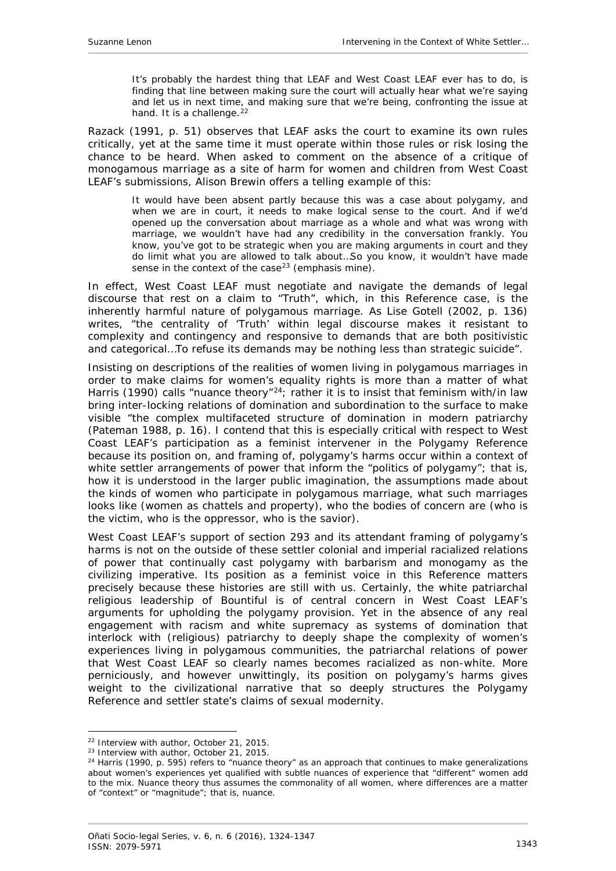It's probably the hardest thing that LEAF and West Coast LEAF ever has to do, is finding that line between making sure the court will actually hear what we're saying and let us in next time, and making sure that we're being, confronting the issue at hand. It is a challenge.<sup>22</sup>

Razack (1991, p. 51) observes that LEAF asks the court to examine its own rules critically, yet at the same time it must operate within those rules or risk losing the chance to be heard. When asked to comment on the absence of a critique of monogamous marriage as a site of harm for women and children from West Coast LEAF's submissions, Alison Brewin offers a telling example of this:

It would have been absent partly because this was a case about polygamy, and when we are in court, it needs to make logical sense to the court. And if we'd opened up the conversation about marriage as a whole and what was wrong with marriage, *we wouldn't have had any credibility in the conversation frankly*. You know, you've got to be strategic when you are making arguments in court and they do limit what you are allowed to talk about…So you know, it wouldn't have made sense in the context of the case<sup>[23](#page-19-1)</sup> (emphasis mine).

In effect, West Coast LEAF must negotiate and navigate the demands of legal discourse that rest on a claim to "Truth", which, in this Reference case, is the inherently harmful nature of polygamous marriage. As Lise Gotell (2002, p. 136) writes, "the centrality of 'Truth' within legal discourse makes it resistant to complexity and contingency and responsive to demands that are both positivistic and categorical…To refuse its demands may be nothing less than strategic suicide".

Insisting on descriptions of the realities of women living in polygamous marriages in order to make claims for women's equality rights is more than a matter of what Harris (1990) calls "nuance theory"<sup>24</sup>; rather it is to insist that feminism with/in law bring inter-locking relations of domination and subordination to the surface to make visible "the complex multifaceted structure of domination in modern patriarchy (Pateman 1988, p. 16). I contend that this is especially critical with respect to West Coast LEAF's participation as a feminist intervener in the Polygamy Reference because its position on, and framing of, polygamy's harms occur within a context of white settler arrangements of power that inform the "politics of polygamy"; that is, how it is understood in the larger public imagination, the assumptions made about the kinds of women who participate in polygamous marriage, what such marriages looks like (women as chattels and property), who the bodies of concern are (who is the victim, who is the oppressor, who is the savior).

West Coast LEAF's support of section 293 and its attendant framing of polygamy's harms is not on the outside of these settler colonial and imperial racialized relations of power that continually cast polygamy with barbarism and monogamy as the civilizing imperative. Its position as a feminist voice in this Reference matters precisely *because* these histories are still with us. Certainly, the white patriarchal religious leadership of Bountiful is of central concern in West Coast LEAF's arguments for upholding the polygamy provision. Yet in the absence of any real engagement with racism and white supremacy as systems of domination that interlock with (religious) patriarchy to deeply shape the complexity of women's experiences living in polygamous communities, the patriarchal relations of power that West Coast LEAF so clearly names becomes racialized as non-white. More perniciously, and however unwittingly, its position on polygamy's harms gives weight to the civilizational narrative that so deeply structures the Polygamy Reference and settler state's claims of sexual modernity.

<sup>&</sup>lt;sup>22</sup> Interview with author, October 21, 2015.

<span id="page-19-1"></span><span id="page-19-0"></span><sup>&</sup>lt;sup>23</sup> Interview with author, October 21, 2015.

<span id="page-19-2"></span> $24$  Harris (1990, p. 595) refers to "nuance theory" as an approach that continues to make generalizations about women's experiences yet qualified with subtle nuances of experience that "different" women add to the mix. Nuance theory thus assumes the commonality of all women, where differences are a matter of "context" or "magnitude"; that is, nuance.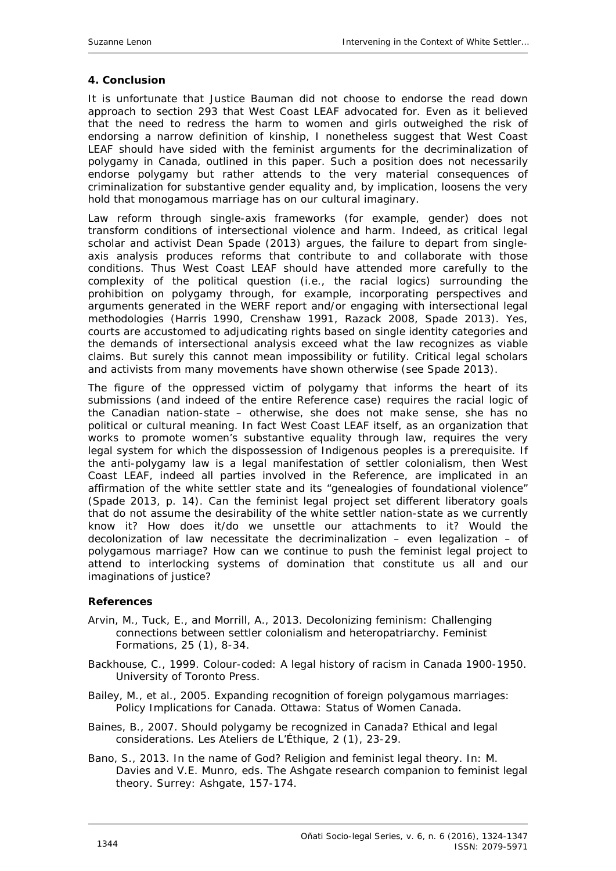#### <span id="page-20-0"></span>**4. Conclusion**

It is unfortunate that Justice Bauman did not choose to endorse the read down approach to section 293 that West Coast LEAF advocated for. Even as it believed that the need to redress the harm to women and girls outweighed the risk of endorsing a narrow definition of kinship, I nonetheless suggest that West Coast LEAF should have sided with the feminist arguments for the decriminalization of polygamy in Canada, outlined in this paper. Such a position does not necessarily endorse polygamy but rather attends to the very material consequences *of* criminalization for substantive gender equality and, by implication, loosens the very hold that monogamous marriage has on our cultural imaginary.

Law reform through single-axis frameworks (for example, gender) does not transform conditions of intersectional violence and harm. Indeed, as critical legal scholar and activist Dean Spade (2013) argues, the failure to depart from singleaxis analysis produces reforms that contribute to and collaborate *with* those conditions. Thus West Coast LEAF should have attended more carefully to the complexity of the political question (i.e., the racial logics) surrounding the prohibition on polygamy through, for example, incorporating perspectives and arguments generated in the WERF report and/or engaging with intersectional legal methodologies (Harris 1990, Crenshaw 1991, Razack 2008, Spade 2013). Yes, courts are accustomed to adjudicating rights based on single identity categories and the demands of intersectional analysis exceed what the law recognizes as viable claims. But surely this cannot mean impossibility or futility. Critical legal scholars and activists from many movements have shown otherwise (see Spade 2013).

The figure of the oppressed victim of polygamy that informs the heart of its submissions (and indeed of the entire Reference case) *requires* the racial logic of the Canadian nation-state – otherwise, she does not make sense, she has no political or cultural meaning. In fact West Coast LEAF itself, as an organization that works to promote women's substantive equality through law, requires the very legal system for which the dispossession of Indigenous peoples is a prerequisite. If the anti-polygamy law is a legal manifestation of settler colonialism, then West Coast LEAF, indeed all parties involved in the Reference, are implicated in an affirmation of the white settler state and its "genealogies of foundational violence" (Spade 2013, p. 14). Can the feminist legal project set different liberatory goals that do not assume the desirability of the white settler nation-state as we currently know it? How does it/do we unsettle our attachments to it? Would the decolonization of law necessitate the decriminalization – even legalization – of polygamous marriage? How can we continue to push the feminist legal project to attend to interlocking systems of domination that constitute us all and our imaginations of justice?

#### <span id="page-20-1"></span>**References**

- Arvin, M., Tuck, E., and Morrill, A., 2013. Decolonizing feminism: Challenging connections between settler colonialism and heteropatriarchy. *Feminist Formations,* 25 (1), 8-34.
- Backhouse, C., 1999. *Colour-coded: A legal history of racism in Canada 1900-1950*. University of Toronto Press.

Bailey, M., *et al*., 2005. *Expanding recognition of foreign polygamous marriages: Policy Implications for Canada*. Ottawa: Status of Women Canada.

- Baines, B., 2007. Should polygamy be recognized in Canada? Ethical and legal considerations. *Les Ateliers de L'Éthique,* 2 (1), 23-29.
- Bano, S., 2013. In the name of God? Religion and feminist legal theory. In: M. Davies and V.E. Munro, eds. *The Ashgate research companion to feminist legal theory*. Surrey: Ashgate, 157-174.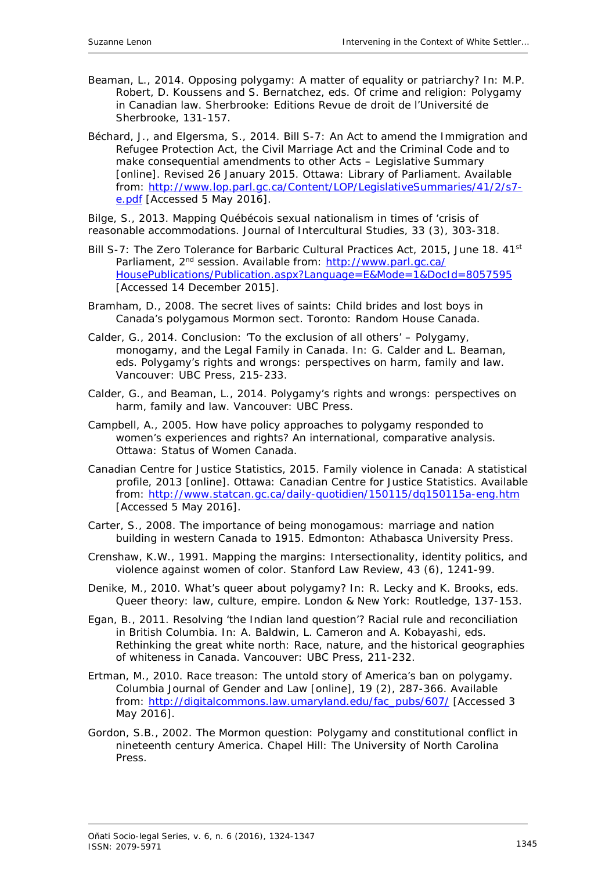- Beaman, L., 2014. Opposing polygamy: A matter of equality or patriarchy? *In*: M.P. Robert, D. Koussens and S. Bernatchez, eds. *Of crime and religion: Polygamy in Canadian law*. Sherbrooke: Editions Revue de droit de l'Université de Sherbrooke, 131-157.
- Béchard, J., and Elgersma, S., 2014. *Bill S-7: An Act to amend the Immigration and Refugee Protection Act, the Civil Marriage Act and the Criminal Code and to make consequential amendments to other Acts – Legislative Summary* [online]. Revised 26 January 2015. Ottawa: Library of Parliament. Available from: [http://www.lop.parl.gc.ca/Content/LOP/LegislativeSummaries/41/2/s7](http://www.lop.parl.gc.ca/Content/LOP/LegislativeSummaries/41/2/s7-e.pdf) [e.pdf](http://www.lop.parl.gc.ca/Content/LOP/LegislativeSummaries/41/2/s7-e.pdf) [Accessed 5 May 2016].
- Bilge, S., 2013. Mapping Québécois sexual nationalism in times of 'crisis of reasonable accommodations. *Journal of Intercultural Studies*, 33 (3), 303-318.
- *Bill S-7: The Zero Tolerance for Barbaric Cultural Practices Act*, 2015, June 18. 41st Parliament, 2<sup>nd</sup> session. Available from: [http://www.parl.gc.ca/](http://www.parl.gc.ca/%0bHousePublications/Publication.aspx?Language=E&Mode=1&DocId=8057595) [HousePublications/Publication.aspx?Language=E&Mode=1&DocId=8057595](http://www.parl.gc.ca/%0bHousePublications/Publication.aspx?Language=E&Mode=1&DocId=8057595) [Accessed 14 December 2015].
- Bramham, D., 2008. *The secret lives of saints: Child brides and lost boys in Canada's polygamous Mormon sect.* Toronto: Random House Canada.
- Calder, G., 2014. Conclusion: 'To the exclusion of all others' Polygamy, monogamy, and the Legal Family in Canada. *In*: G. Calder and L. Beaman, eds. *Polygamy's rights and wrongs: perspectives on harm, family and law*. Vancouver: UBC Press, 215-233.
- Calder, G., and Beaman, L., 2014. *Polygamy's rights and wrongs: perspectives on harm, family and law*. Vancouver: UBC Press.
- Campbell, A., 2005. *How have policy approaches to polygamy responded to women's experiences and rights? An international, comparative analysis*. Ottawa: Status of Women Canada.
- Canadian Centre for Justice Statistics, 2015. *Family violence in Canada: A statistical profile, 2013* [online]*.* Ottawa: Canadian Centre for Justice Statistics. Available from: <http://www.statcan.gc.ca/daily-quotidien/150115/dq150115a-eng.htm> [Accessed 5 May 2016].
- Carter, S., 2008. *The importance of being monogamous: marriage and nation building in western Canada to 1915*. Edmonton: Athabasca University Press.
- Crenshaw, K.W., 1991. Mapping the margins: Intersectionality, identity politics, and violence against women of color. *Stanford Law Review,* 43 (6), 1241-99.
- Denike, M., 2010. What's queer about polygamy? *In*: R. Lecky and K. Brooks, eds. *Queer theory: law, culture, empire*. London & New York: Routledge, 137-153.
- Egan, B., 2011. Resolving 'the Indian land question'? Racial rule and reconciliation in British Columbia. *In*: A. Baldwin, L. Cameron and A. Kobayashi, eds. *Rethinking the great white north: Race, nature, and the historical geographies of whiteness in Canada*. Vancouver: UBC Press, 211-232.
- Ertman, M., 2010. Race treason: The untold story of America's ban on polygamy. *Columbia Journal of Gender and Law* [online], 19 (2), 287-366. Available from: [http://digitalcommons.law.umaryland.edu/fac\\_pubs/607/](http://digitalcommons.law.umaryland.edu/fac_pubs/607/) [Accessed 3 May 2016].
- Gordon, S.B., 2002. *The Mormon question: Polygamy and constitutional conflict in nineteenth century America*. Chapel Hill: The University of North Carolina **Press**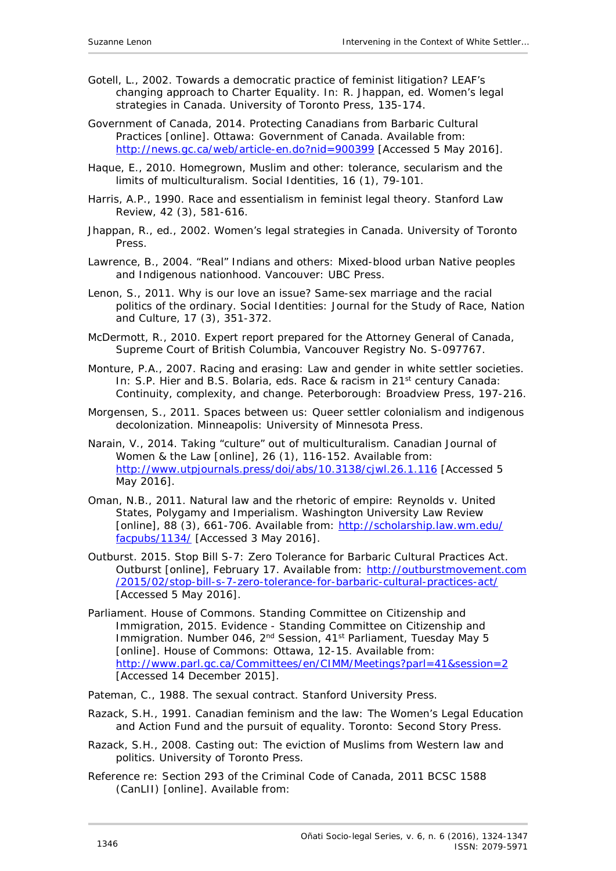- Gotell, L., 2002. Towards a democratic practice of feminist litigation? LEAF's changing approach to Charter Equality. *In*: R. Jhappan, ed. *Women's legal strategies in Canada*. University of Toronto Press, 135-174.
- Government of Canada, 2014. *Protecting Canadians from Barbaric Cultural Practices* [online]. Ottawa: Government of Canada. Available from: <http://news.gc.ca/web/article-en.do?nid=900399> [Accessed 5 May 2016].
- Haque, E., 2010. Homegrown, Muslim and other: tolerance, secularism and the limits of multiculturalism. *Social Identities*, 16 (1), 79-101.
- Harris, A.P., 1990. Race and essentialism in feminist legal theory. *Stanford Law Review*, 42 (3), 581-616.
- Jhappan, R., ed., 2002. *Women's legal strategies in Canada*. University of Toronto **Press**
- Lawrence, B., 2004. *"Real" Indians and others: Mixed-blood urban Native peoples and Indigenous nationhood*. Vancouver: UBC Press.
- Lenon, S., 2011. Why is our love an issue? Same-sex marriage and the racial politics of the ordinary. *Social Identities: Journal for the Study of Race, Nation and Culture*, 17 (3), 351-372.
- McDermott, R., 2010. *Expert report prepared for the Attorney General of Canada, Supreme Court of British Columbia, Vancouver Registry No. S-097767*.
- Monture, P.A., 2007. Racing and erasing: Law and gender in white settler societies. *In*: S.P. Hier and B.S. Bolaria, eds. *Race & racism in 21st century Canada: Continuity, complexity, and change*. Peterborough: Broadview Press, 197-216.
- Morgensen, S., 2011. *Spaces between us: Queer settler colonialism and indigenous decolonization*. Minneapolis: University of Minnesota Press.
- Narain, V., 2014. Taking "culture" out of multiculturalism. *Canadian Journal of Women & the Law* [online], 26 (1), 116-152. Available from: <http://www.utpjournals.press/doi/abs/10.3138/cjwl.26.1.116> [Accessed 5 May 2016].
- Oman, N.B., 2011. Natural law and the rhetoric of empire: *Reynolds v. United States*, Polygamy and Imperialism. Washington University Law Review [online], 88 (3), 661-706. Available from: [http://scholarship.law.wm.edu/](http://scholarship.law.wm.edu/%0bfacpubs/1134/) [facpubs/1134/](http://scholarship.law.wm.edu/%0bfacpubs/1134/) [Accessed 3 May 2016].
- Outburst. 2015. Stop Bill S-7: Zero Tolerance for Barbaric Cultural Practices Act. Outburst [online], February 17. Available from: http://outburstmovement.com /2015/02/stop-bill-s-7-zero-tolerance-for-barbaric-cultural-practices-act/ [Accessed 5 May 2016].
- Parliament. House of Commons. Standing Committee on Citizenship and Immigration, 2015. *Evidence - Standing Committee on Citizenship and Immigration. Number 046, 2nd Session, 41st Parliament, Tuesday May 5* [online]. House of Commons: Ottawa, 12-15. Available from: <http://www.parl.gc.ca/Committees/en/CIMM/Meetings?parl=41&session=2> [Accessed 14 December 2015].
- Pateman, C., 1988. *The sexual contract*. Stanford University Press.
- Razack, S.H., 1991. *Canadian feminism and the law: The Women's Legal Education and Action Fund and the pursuit of equality*. Toronto: Second Story Press.
- Razack, S.H., 2008. *Casting out: The eviction of Muslims from Western law and politics*. University of Toronto Press.
- Reference re: Section 293 of the Criminal Code of Canada, 2011 BCSC 1588 (CanLII) [online]. Available from: